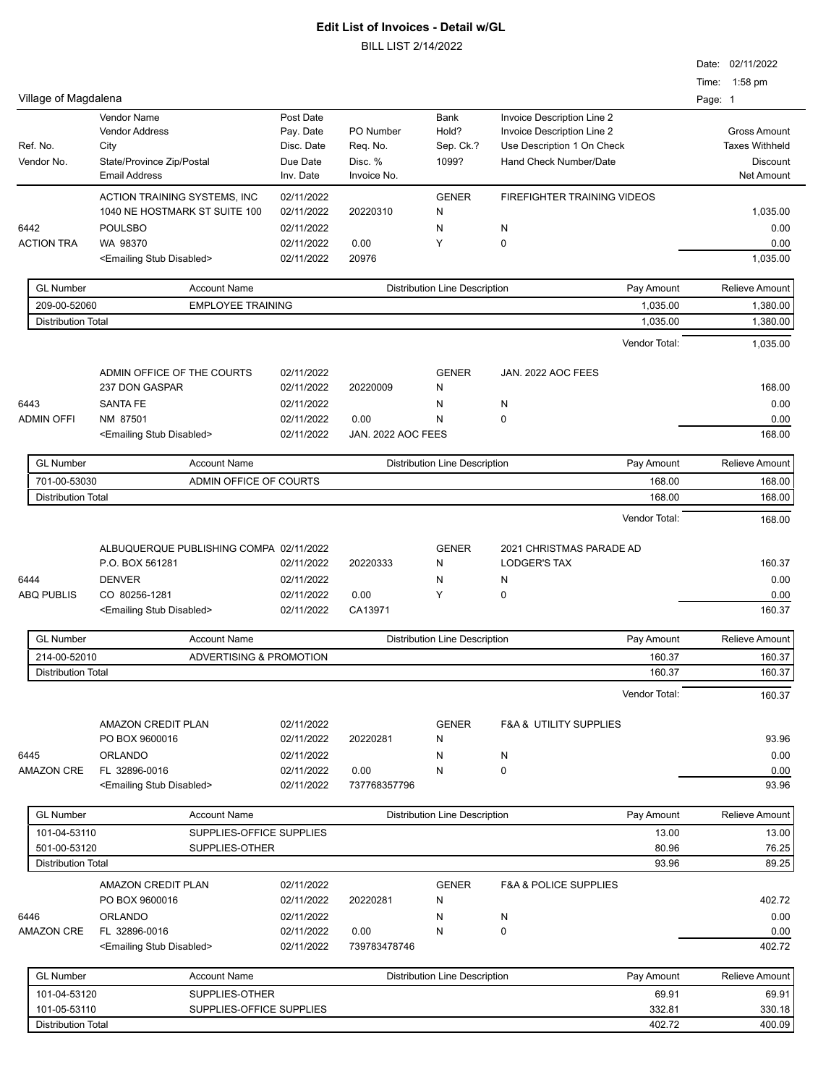|                           |                                           |                                         |                          |                    |                                      |                                       |         | Date: 02/11/2022      |
|---------------------------|-------------------------------------------|-----------------------------------------|--------------------------|--------------------|--------------------------------------|---------------------------------------|---------|-----------------------|
| Village of Magdalena      |                                           |                                         |                          |                    |                                      |                                       | Page: 1 | Time: 1:58 pm         |
|                           | Vendor Name                               |                                         | Post Date                |                    | Bank                                 | Invoice Description Line 2            |         |                       |
|                           | <b>Vendor Address</b>                     |                                         | Pay. Date                | PO Number          | Hold?                                | Invoice Description Line 2            |         | <b>Gross Amount</b>   |
| Ref. No.                  | City                                      |                                         | Disc. Date               | Req. No.           | Sep. Ck.?                            | Use Description 1 On Check            |         | <b>Taxes Withheld</b> |
| Vendor No.                | State/Province Zip/Postal                 |                                         | Due Date                 | Disc. %            | 1099?                                | Hand Check Number/Date                |         | Discount              |
|                           | <b>Email Address</b>                      |                                         | Inv. Date                | Invoice No.        |                                      |                                       |         | Net Amount            |
|                           |                                           | ACTION TRAINING SYSTEMS, INC            | 02/11/2022               |                    | <b>GENER</b>                         | FIREFIGHTER TRAINING VIDEOS           |         |                       |
|                           |                                           | 1040 NE HOSTMARK ST SUITE 100           | 02/11/2022               | 20220310           | N                                    |                                       |         | 1.035.00              |
| 6442                      | <b>POULSBO</b>                            |                                         | 02/11/2022               |                    | N                                    | N                                     |         | 0.00                  |
| <b>ACTION TRA</b>         | WA 98370                                  |                                         | 02/11/2022               | 0.00               | Y                                    | $\mathbf 0$                           |         | 0.00                  |
|                           | <emailing disabled="" stub=""></emailing> |                                         | 02/11/2022               | 20976              |                                      |                                       |         | 1,035.00              |
| <b>GL Number</b>          |                                           | <b>Account Name</b>                     |                          |                    | <b>Distribution Line Description</b> | Pay Amount                            |         | <b>Relieve Amount</b> |
| 209-00-52060              |                                           | <b>EMPLOYEE TRAINING</b>                |                          |                    |                                      | 1,035.00                              |         | 1,380.00              |
|                           | <b>Distribution Total</b>                 |                                         |                          |                    |                                      | 1,035.00                              |         | 1,380.00              |
|                           |                                           |                                         |                          |                    |                                      | Vendor Total:                         |         | 1,035.00              |
|                           |                                           | ADMIN OFFICE OF THE COURTS              | 02/11/2022               |                    | <b>GENER</b>                         | JAN. 2022 AOC FEES                    |         |                       |
|                           | 237 DON GASPAR                            |                                         | 02/11/2022               | 20220009           | N                                    |                                       |         | 168.00                |
| 6443                      | <b>SANTA FE</b>                           |                                         | 02/11/2022               |                    | N                                    | N                                     |         | 0.00                  |
| <b>ADMIN OFFI</b>         | NM 87501                                  |                                         | 02/11/2022               | 0.00               | N                                    | $\mathbf 0$                           |         | 0.00                  |
|                           | <emailing disabled="" stub=""></emailing> |                                         | 02/11/2022               | JAN. 2022 AOC FEES |                                      |                                       |         | 168.00                |
| <b>GL Number</b>          |                                           | <b>Account Name</b>                     |                          |                    | <b>Distribution Line Description</b> | Pay Amount                            |         | <b>Relieve Amount</b> |
| 701-00-53030              |                                           | ADMIN OFFICE OF COURTS                  |                          |                    |                                      | 168.00                                |         | 168.00                |
|                           | <b>Distribution Total</b>                 |                                         |                          |                    |                                      | 168.00                                |         | 168.00                |
|                           |                                           |                                         |                          |                    |                                      | Vendor Total:                         |         | 168.00                |
|                           |                                           |                                         |                          |                    |                                      |                                       |         |                       |
|                           |                                           | ALBUQUERQUE PUBLISHING COMPA 02/11/2022 |                          |                    | <b>GENER</b>                         | 2021 CHRISTMAS PARADE AD              |         |                       |
|                           | P.O. BOX 561281                           |                                         | 02/11/2022               | 20220333           | N                                    | <b>LODGER'S TAX</b>                   |         | 160.37                |
| 6444<br><b>ABQ PUBLIS</b> | <b>DENVER</b><br>CO 80256-1281            |                                         | 02/11/2022<br>02/11/2022 | 0.00               | N<br>Y                               | N<br>$\mathbf 0$                      |         | 0.00                  |
|                           | <emailing disabled="" stub=""></emailing> |                                         | 02/11/2022               | CA13971            |                                      |                                       |         | 0.00<br>160.37        |
|                           |                                           |                                         |                          |                    |                                      |                                       |         |                       |
| <b>GL Number</b>          |                                           | <b>Account Name</b>                     |                          |                    | <b>Distribution Line Description</b> | Pay Amount                            |         | <b>Relieve Amount</b> |
| 214-00-52010              |                                           | ADVERTISING & PROMOTION                 |                          |                    |                                      | 160.37                                |         | 160.37                |
|                           | <b>Distribution Total</b>                 |                                         |                          |                    |                                      | 160.37                                |         | 160.37                |
|                           |                                           |                                         |                          |                    |                                      | Vendor Total:                         |         | 160.37                |
|                           | AMAZON CREDIT PLAN                        |                                         | 02/11/2022               |                    | <b>GENER</b>                         | <b>F&amp;A &amp; UTILITY SUPPLIES</b> |         |                       |
|                           | PO BOX 9600016                            |                                         | 02/11/2022               | 20220281           | N                                    |                                       |         | 93.96                 |
| 6445                      | <b>ORLANDO</b>                            |                                         | 02/11/2022               |                    | N                                    | N                                     |         | 0.00                  |
| <b>AMAZON CRE</b>         | FL 32896-0016                             |                                         | 02/11/2022               | 0.00               | N                                    | $\mathbf 0$                           |         | 0.00                  |
|                           | <emailing disabled="" stub=""></emailing> |                                         | 02/11/2022               | 737768357796       |                                      |                                       |         | 93.96                 |
| <b>GL Number</b>          |                                           | <b>Account Name</b>                     |                          |                    | <b>Distribution Line Description</b> | Pay Amount                            |         | Relieve Amount        |
| 101-04-53110              |                                           | SUPPLIES-OFFICE SUPPLIES                |                          |                    |                                      | 13.00                                 |         | 13.00                 |
| 501-00-53120              |                                           | SUPPLIES-OTHER                          |                          |                    |                                      | 80.96                                 |         | 76.25                 |
|                           | <b>Distribution Total</b>                 |                                         |                          |                    |                                      | 93.96                                 |         | 89.25                 |
|                           | AMAZON CREDIT PLAN                        |                                         | 02/11/2022               |                    | <b>GENER</b>                         | <b>F&amp;A &amp; POLICE SUPPLIES</b>  |         |                       |
|                           | PO BOX 9600016                            |                                         | 02/11/2022               | 20220281           | N                                    |                                       |         | 402.72                |
| 6446                      | <b>ORLANDO</b>                            |                                         | 02/11/2022               |                    | N                                    | N                                     |         | 0.00                  |
| <b>AMAZON CRE</b>         | FL 32896-0016                             |                                         | 02/11/2022               | 0.00               | N                                    | $\mathbf 0$                           |         | 0.00                  |
|                           | <emailing disabled="" stub=""></emailing> |                                         | 02/11/2022               | 739783478746       |                                      |                                       |         | 402.72                |
| <b>GL Number</b>          |                                           | <b>Account Name</b>                     |                          |                    | <b>Distribution Line Description</b> | Pay Amount                            |         | Relieve Amount        |
| 101-04-53120              |                                           | SUPPLIES-OTHER                          |                          |                    |                                      | 69.91                                 |         | 69.91                 |
| $1010E$ $E2110$           |                                           | <b>CURDLIES OFFICE SURDLIES</b>         |                          |                    |                                      | 222.04                                |         | <b>220.40</b>         |

| <b>UL NUMBER</b>          | <b>ACCOUNT NATILE</b>    | DISTINGULED DESCRIPTION | Fav Allivulit | REIEVE AINVUIT |
|---------------------------|--------------------------|-------------------------|---------------|----------------|
| 101-04-53120              | SUPPLIES-OTHER           |                         | 69.91         | 69.91          |
| 101-05-53110              | SUPPLIES-OFFICE SUPPLIES |                         | 332.81        | 330.18         |
| <b>Distribution Total</b> |                          |                         | 402.72        | 400.09         |
|                           |                          |                         |               |                |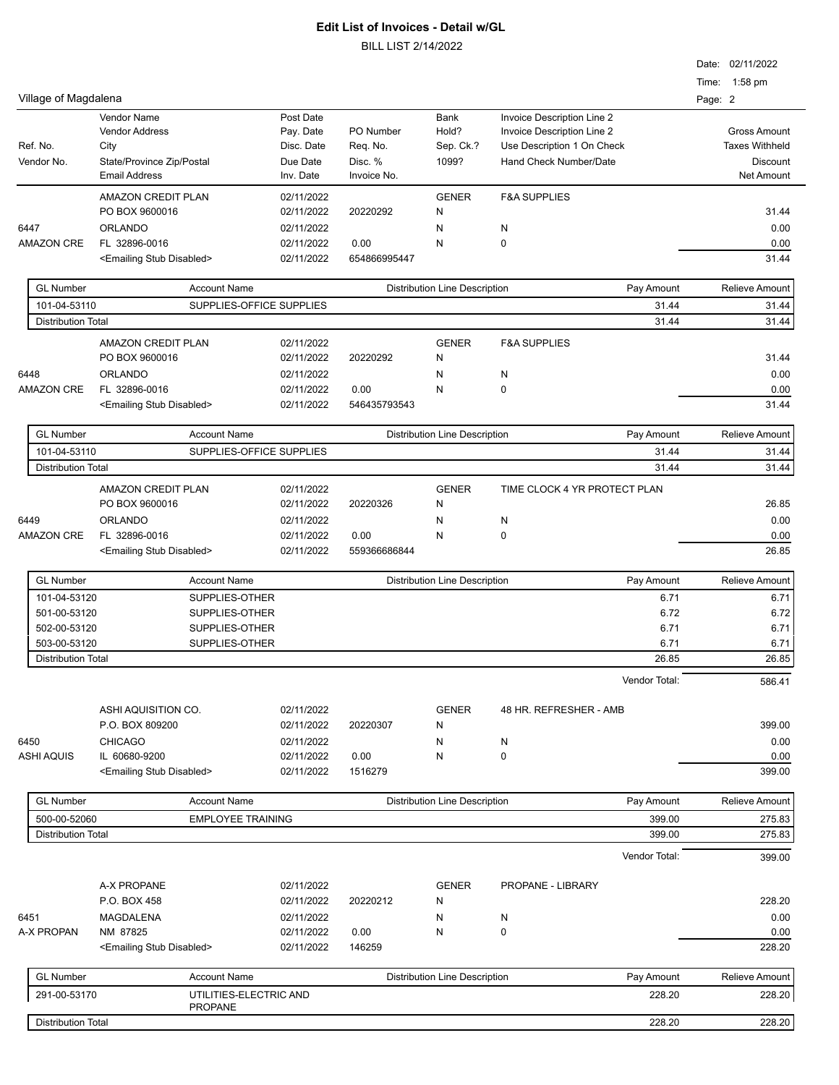|                           |                                             |                          |                          |              |                                      |                                                          |               | Date: 02/11/2022<br>Time: 1:58 pm |                       |
|---------------------------|---------------------------------------------|--------------------------|--------------------------|--------------|--------------------------------------|----------------------------------------------------------|---------------|-----------------------------------|-----------------------|
| Village of Magdalena      |                                             |                          |                          |              |                                      |                                                          |               | Page: 2                           |                       |
|                           | <b>Vendor Name</b><br><b>Vendor Address</b> |                          | Post Date<br>Pay. Date   | PO Number    | <b>Bank</b><br>Hold?                 | Invoice Description Line 2<br>Invoice Description Line 2 |               |                                   | <b>Gross Amount</b>   |
| Ref. No.                  | City                                        |                          | Disc. Date               | Req. No.     | Sep. Ck.?                            | Use Description 1 On Check                               |               |                                   | <b>Taxes Withheld</b> |
| Vendor No.                | State/Province Zip/Postal                   |                          | Due Date                 | Disc. %      | 1099?                                | Hand Check Number/Date                                   |               |                                   | Discount              |
|                           | <b>Email Address</b>                        |                          | Inv. Date                | Invoice No.  |                                      |                                                          |               |                                   | <b>Net Amount</b>     |
|                           | AMAZON CREDIT PLAN<br>PO BOX 9600016        |                          | 02/11/2022<br>02/11/2022 | 20220292     | <b>GENER</b><br>N                    | <b>F&amp;A SUPPLIES</b>                                  |               |                                   | 31.44                 |
| 6447                      | <b>ORLANDO</b>                              |                          | 02/11/2022               |              | N                                    | N                                                        |               |                                   | 0.00                  |
| <b>AMAZON CRE</b>         | FL 32896-0016                               |                          | 02/11/2022               | 0.00         | N                                    | 0                                                        |               |                                   | 0.00                  |
|                           | <emailing disabled="" stub=""></emailing>   |                          | 02/11/2022               | 654866995447 |                                      |                                                          |               |                                   | 31.44                 |
| <b>GL Number</b>          |                                             | <b>Account Name</b>      |                          |              | <b>Distribution Line Description</b> |                                                          | Pay Amount    |                                   | Relieve Amount        |
| 101-04-53110              |                                             | SUPPLIES-OFFICE SUPPLIES |                          |              |                                      |                                                          | 31.44         |                                   | 31.44                 |
| <b>Distribution Total</b> |                                             |                          |                          |              |                                      |                                                          | 31.44         |                                   | 31.44                 |
|                           | <b>AMAZON CREDIT PLAN</b>                   |                          | 02/11/2022               |              | <b>GENER</b>                         | <b>F&amp;A SUPPLIES</b>                                  |               |                                   |                       |
|                           | PO BOX 9600016                              |                          | 02/11/2022               | 20220292     | N                                    |                                                          |               |                                   | 31.44                 |
| 6448                      | <b>ORLANDO</b>                              |                          | 02/11/2022               |              | N                                    | Ν                                                        |               |                                   | 0.00                  |
| <b>AMAZON CRE</b>         | FL 32896-0016                               |                          | 02/11/2022               | 0.00         | N                                    | 0                                                        |               |                                   | 0.00                  |
|                           | <emailing disabled="" stub=""></emailing>   |                          | 02/11/2022               | 546435793543 |                                      |                                                          |               |                                   | 31.44                 |
| <b>GL Number</b>          |                                             | <b>Account Name</b>      |                          |              | <b>Distribution Line Description</b> |                                                          | Pay Amount    |                                   | <b>Relieve Amount</b> |
| 101-04-53110              |                                             | SUPPLIES-OFFICE SUPPLIES |                          |              |                                      |                                                          | 31.44         |                                   | 31.44                 |
| <b>Distribution Total</b> |                                             |                          |                          |              |                                      |                                                          | 31.44         |                                   | 31.44                 |
|                           | <b>AMAZON CREDIT PLAN</b>                   |                          | 02/11/2022               |              | <b>GENER</b>                         | TIME CLOCK 4 YR PROTECT PLAN                             |               |                                   |                       |
|                           | PO BOX 9600016                              |                          | 02/11/2022               | 20220326     | Ν                                    |                                                          |               |                                   | 26.85                 |
| 6449                      | <b>ORLANDO</b>                              |                          | 02/11/2022               |              | N                                    | N                                                        |               |                                   | 0.00                  |
| <b>AMAZON CRE</b>         | FL 32896-0016                               |                          | 02/11/2022               | 0.00         | N                                    | 0                                                        |               |                                   | 0.00                  |
|                           | <emailing disabled="" stub=""></emailing>   |                          | 02/11/2022               | 559366686844 |                                      |                                                          |               |                                   | 26.85                 |
| <b>GL Number</b>          |                                             | <b>Account Name</b>      |                          |              | <b>Distribution Line Description</b> |                                                          | Pay Amount    |                                   | Relieve Amount        |
| 101-04-53120              |                                             | SUPPLIES-OTHER           |                          |              |                                      |                                                          | 6.71          |                                   | 6.71                  |
| 501-00-53120              |                                             | SUPPLIES-OTHER           |                          |              |                                      |                                                          | 6.72          |                                   | 6.72                  |
| 502-00-53120              |                                             | SUPPLIES-OTHER           |                          |              |                                      |                                                          | 6.71          |                                   | 6.71                  |
| 503-00-53120              |                                             | SUPPLIES-OTHER           |                          |              |                                      |                                                          | 6.71          |                                   | 6.71                  |
| <b>Distribution Total</b> |                                             |                          |                          |              |                                      |                                                          | 26.85         |                                   | 26.85                 |
|                           |                                             |                          |                          |              |                                      |                                                          | Vendor Total: |                                   | 586.41                |
|                           | ASHI AQUISITION CO.<br>P.O. BOX 809200      |                          | 02/11/2022<br>02/11/2022 | 20220307     | <b>GENER</b><br>Ν                    | 48 HR. REFRESHER - AMB                                   |               |                                   | 399.00                |
| 6450                      | <b>CHICAGO</b>                              |                          | 02/11/2022               |              | N                                    | N                                                        |               |                                   | 0.00                  |
| <b>ASHI AQUIS</b>         | IL 60680-9200                               |                          | 02/11/2022               | 0.00         | Ν                                    | 0                                                        |               |                                   | 0.00                  |
|                           | <emailing disabled="" stub=""></emailing>   |                          | 02/11/2022               | 1516279      |                                      |                                                          |               |                                   | 399.00                |
| <b>GL Number</b>          |                                             | <b>Account Name</b>      |                          |              | <b>Distribution Line Description</b> |                                                          | Pay Amount    |                                   | Relieve Amount        |
| 500-00-52060              |                                             | <b>EMPLOYEE TRAINING</b> |                          |              |                                      |                                                          | 399.00        |                                   | 275.83                |
| <b>Distribution Total</b> |                                             |                          |                          |              |                                      |                                                          | 399.00        |                                   | 275.83                |
|                           |                                             |                          |                          |              |                                      |                                                          | Vendor Total: |                                   | 399.00                |
|                           | A-X PROPANE                                 |                          | 02/11/2022               |              | <b>GENER</b>                         | PROPANE - LIBRARY                                        |               |                                   |                       |
|                           | P.O. BOX 458                                |                          | 02/11/2022               | 20220212     | Ν                                    |                                                          |               |                                   | 228.20                |
| 6451                      | MAGDALENA                                   |                          | 02/11/2022               |              | Ν                                    | Ν                                                        |               |                                   | 0.00                  |
| A-X PROPAN                | NM 87825                                    |                          | 02/11/2022               | 0.00         | Ν                                    | 0                                                        |               |                                   | 0.00                  |
|                           | <emailing disabled="" stub=""></emailing>   |                          | 02/11/2022               | 146259       |                                      |                                                          |               |                                   | 228.20                |
| <b>GL Number</b>          |                                             | <b>Account Name</b>      |                          |              | <b>Distribution Line Description</b> |                                                          | Pay Amount    |                                   | Relieve Amount        |
| 291-00-53170              |                                             | UTILITIES-ELECTRIC AND   |                          |              |                                      |                                                          | 228.20        |                                   | 228.20                |
|                           |                                             | <b>PROPANE</b>           |                          |              |                                      |                                                          |               |                                   |                       |
| <b>Distribution Total</b> |                                             |                          |                          |              |                                      |                                                          | 228.20        |                                   | 228.20                |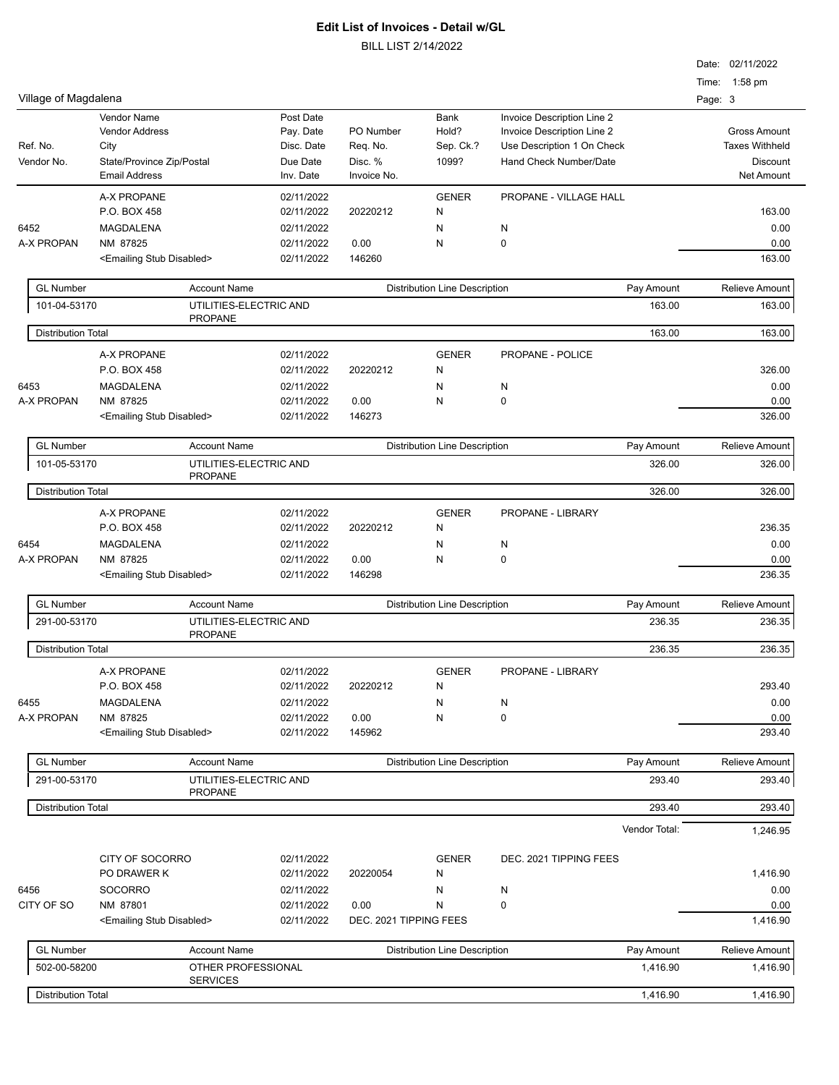| <b>Distribution Total</b>        |                                               |                          |                        |                                      | 1,416.90                                             | 1,416.90                                 |
|----------------------------------|-----------------------------------------------|--------------------------|------------------------|--------------------------------------|------------------------------------------------------|------------------------------------------|
| 502-00-58200                     | OTHER PROFESSIONAL<br><b>SERVICES</b>         |                          |                        |                                      | 1,416.90                                             | 1,416.90                                 |
| <b>GL Number</b>                 | <b>Account Name</b>                           |                          |                        | <b>Distribution Line Description</b> | Pay Amount                                           | Relieve Amount                           |
|                                  | <emailing disabled="" stub=""></emailing>     | 02/11/2022               | DEC. 2021 TIPPING FEES |                                      |                                                      | 1,416.90                                 |
| CITY OF SO                       | NM 87801                                      | 02/11/2022               | 0.00                   | N                                    | 0                                                    | 0.00                                     |
| 6456                             | <b>SOCORRO</b>                                | 02/11/2022               |                        | N                                    | N                                                    | 0.00                                     |
|                                  | CITY OF SOCORRO<br>PO DRAWER K                | 02/11/2022<br>02/11/2022 | 20220054               | <b>GENER</b><br>N                    | DEC. 2021 TIPPING FEES                               | 1,416.90                                 |
|                                  |                                               |                          |                        |                                      |                                                      |                                          |
|                                  |                                               |                          |                        |                                      | Vendor Total:                                        | 1,246.95                                 |
| <b>Distribution Total</b>        | <b>PROPANE</b>                                |                          |                        |                                      | 293.40                                               | 293.40                                   |
| 291-00-53170                     | UTILITIES-ELECTRIC AND                        |                          |                        |                                      | 293.40                                               | 293.40                                   |
| <b>GL Number</b>                 | <b>Account Name</b>                           |                          |                        | <b>Distribution Line Description</b> | Pay Amount                                           | <b>Relieve Amount</b>                    |
|                                  | <emailing disabled="" stub=""></emailing>     | 02/11/2022               | 145962                 |                                      |                                                      | 293.40                                   |
| A-X PROPAN                       | NM 87825                                      | 02/11/2022               | 0.00                   | N                                    | 0                                                    | 0.00                                     |
| 6455                             | MAGDALENA                                     | 02/11/2022               |                        | N                                    | N                                                    | 0.00                                     |
|                                  | A-X PROPANE<br>P.O. BOX 458                   | 02/11/2022<br>02/11/2022 | 20220212               | <b>GENER</b><br>N                    | PROPANE - LIBRARY                                    | 293.40                                   |
| <b>Distribution Total</b>        |                                               |                          |                        |                                      | 236.35                                               | 236.35                                   |
|                                  | <b>PROPANE</b>                                |                          |                        |                                      |                                                      |                                          |
| <b>GL Number</b><br>291-00-53170 | <b>Account Name</b><br>UTILITIES-ELECTRIC AND |                          |                        | <b>Distribution Line Description</b> | Pay Amount<br>236.35                                 | <b>Relieve Amount</b><br>236.35          |
|                                  |                                               |                          |                        |                                      |                                                      |                                          |
|                                  | <emailing disabled="" stub=""></emailing>     | 02/11/2022               | 146298                 |                                      |                                                      | 236.35                                   |
| 6454<br>A-X PROPAN               | MAGDALENA<br>NM 87825                         | 02/11/2022<br>02/11/2022 | 0.00                   | N<br>N                               | N<br>0                                               | 0.00<br>0.00                             |
|                                  | P.O. BOX 458                                  | 02/11/2022               | 20220212               | N                                    |                                                      | 236.35                                   |
|                                  | A-X PROPANE                                   | 02/11/2022               |                        | <b>GENER</b>                         | PROPANE - LIBRARY                                    |                                          |
| <b>Distribution Total</b>        |                                               |                          |                        |                                      | 326.00                                               | 326.00                                   |
| 101-05-53170                     | UTILITIES-ELECTRIC AND<br><b>PROPANE</b>      |                          |                        |                                      | 326.00                                               | 326.00                                   |
| <b>GL Number</b>                 | <b>Account Name</b>                           |                          |                        | <b>Distribution Line Description</b> | Pay Amount                                           | Relieve Amount                           |
|                                  |                                               |                          |                        |                                      |                                                      |                                          |
|                                  | <emailing disabled="" stub=""></emailing>     | 02/11/2022               | 146273                 |                                      |                                                      | 0.00<br>326.00                           |
| 6453<br>A-X PROPAN               | MAGDALENA<br>NM 87825                         | 02/11/2022<br>02/11/2022 | 0.00                   | N<br>N                               | N<br>0                                               | 0.00                                     |
|                                  | P.O. BOX 458                                  | 02/11/2022               | 20220212               | N                                    |                                                      | 326.00                                   |
|                                  | A-X PROPANE                                   | 02/11/2022               |                        | <b>GENER</b>                         | PROPANE - POLICE                                     |                                          |
| <b>Distribution Total</b>        |                                               |                          |                        |                                      | 163.00                                               | 163.00                                   |
| 101-04-53170                     | UTILITIES-ELECTRIC AND<br><b>PROPANE</b>      |                          |                        |                                      | 163.00                                               | 163.00                                   |
| <b>GL Number</b>                 | <b>Account Name</b>                           |                          |                        | <b>Distribution Line Description</b> | Pay Amount                                           | <b>Relieve Amount</b>                    |
|                                  | <emailing disabled="" stub=""></emailing>     | 02/11/2022               | 146260                 |                                      |                                                      | 163.00                                   |
| A-X PROPAN                       | NM 87825                                      | 02/11/2022               | 0.00                   | N                                    | 0                                                    | 0.00                                     |
| 6452                             | MAGDALENA                                     | 02/11/2022               |                        | N                                    | N                                                    | 0.00                                     |
|                                  | P.O. BOX 458                                  | 02/11/2022               | 20220212               | N                                    |                                                      | 163.00                                   |
|                                  | A-X PROPANE                                   | 02/11/2022               |                        | <b>GENER</b>                         | PROPANE - VILLAGE HALL                               |                                          |
|                                  | <b>Email Address</b>                          | Inv. Date                | Invoice No.            |                                      |                                                      | <b>Net Amount</b>                        |
| Ref. No.<br>Vendor No.           | City<br>State/Province Zip/Postal             | Disc. Date<br>Due Date   | Req. No.<br>Disc. %    | Sep. Ck.?<br>1099?                   | Use Description 1 On Check<br>Hand Check Number/Date | <b>Taxes Withheld</b><br><b>Discount</b> |
|                                  | <b>Vendor Address</b>                         | Pay. Date                | PO Number              | Hold?                                | Invoice Description Line 2                           | <b>Gross Amount</b>                      |
|                                  | <b>Vendor Name</b>                            | Post Date                |                        | <b>Bank</b>                          | Invoice Description Line 2                           |                                          |
| Village of Magdalena             |                                               |                          |                        |                                      |                                                      | Page: 3                                  |
|                                  |                                               |                          |                        |                                      |                                                      | Time: 1:58 pm                            |
|                                  |                                               |                          |                        |                                      |                                                      | Date: 02/11/2022                         |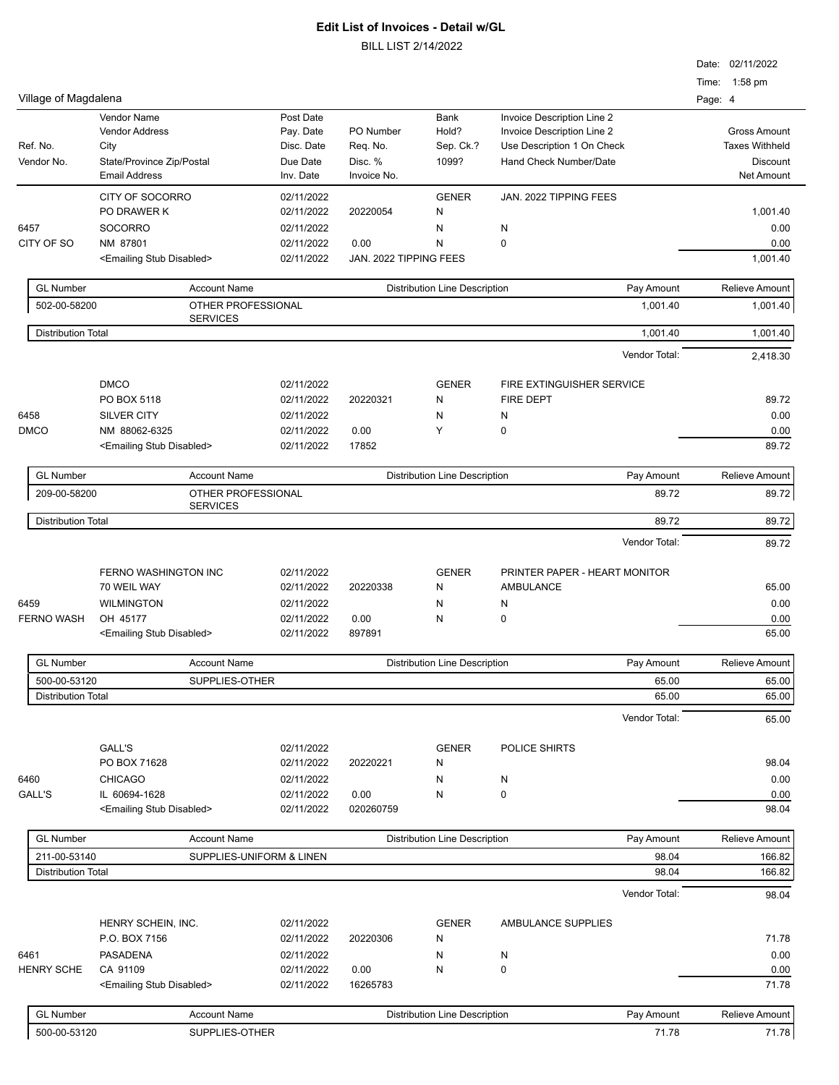| Village of Magdalena      |                                           |                          |                                                    |                                      |                                                   | Date: 02/11/2022<br>Time: 1:58 pm<br>Page: 4 |  |
|---------------------------|-------------------------------------------|--------------------------|----------------------------------------------------|--------------------------------------|---------------------------------------------------|----------------------------------------------|--|
|                           | Vendor Name                               | Post Date                |                                                    | Bank                                 | Invoice Description Line 2                        |                                              |  |
|                           | <b>Vendor Address</b>                     | Pay. Date                | PO Number                                          | Hold?                                | Invoice Description Line 2                        | <b>Gross Amount</b>                          |  |
| Ref. No.                  | City                                      | Disc. Date               | Req. No.                                           | Sep. Ck.?                            | Use Description 1 On Check                        | <b>Taxes Withheld</b>                        |  |
| Vendor No.                | State/Province Zip/Postal                 | Due Date                 | Disc. %                                            | 1099?                                | Hand Check Number/Date                            | Discount                                     |  |
|                           | <b>Email Address</b>                      | Inv. Date                | Invoice No.                                        |                                      |                                                   | Net Amount                                   |  |
|                           | CITY OF SOCORRO                           | 02/11/2022               |                                                    | <b>GENER</b>                         | JAN. 2022 TIPPING FEES                            |                                              |  |
|                           | PO DRAWER K                               | 02/11/2022               | 20220054                                           | N                                    |                                                   | 1,001.40                                     |  |
| 6457                      | <b>SOCORRO</b>                            | 02/11/2022               |                                                    | N                                    | N                                                 | 0.00                                         |  |
| CITY OF SO                | NM 87801                                  | 02/11/2022               | 0.00                                               | N                                    | 0                                                 | 0.00                                         |  |
|                           | <emailing disabled="" stub=""></emailing> | 02/11/2022               |                                                    | JAN. 2022 TIPPING FEES               |                                                   |                                              |  |
| <b>GL Number</b>          | <b>Account Name</b>                       |                          |                                                    | <b>Distribution Line Description</b> | Pay Amount                                        | Relieve Amount                               |  |
| 502-00-58200              |                                           | OTHER PROFESSIONAL       |                                                    |                                      | 1,001.40                                          | 1,001.40                                     |  |
| <b>Distribution Total</b> | <b>SERVICES</b>                           |                          |                                                    |                                      | 1,001.40                                          | 1,001.40                                     |  |
|                           |                                           |                          |                                                    |                                      | Vendor Total:                                     | 2,418.30                                     |  |
|                           |                                           |                          |                                                    |                                      |                                                   |                                              |  |
|                           | <b>DMCO</b><br>PO BOX 5118                | 02/11/2022               |                                                    | <b>GENER</b>                         | FIRE EXTINGUISHER SERVICE                         | 89.72                                        |  |
|                           |                                           | 02/11/2022               | 20220321                                           | N                                    | <b>FIRE DEPT</b>                                  |                                              |  |
| 6458                      | <b>SILVER CITY</b>                        | 02/11/2022               |                                                    | N                                    | N                                                 | 0.00                                         |  |
| <b>DMCO</b>               | NM 88062-6325                             | 02/11/2022               | 0.00                                               | Y                                    | 0                                                 | 0.00                                         |  |
|                           | <emailing disabled="" stub=""></emailing> | 02/11/2022               | 17852                                              |                                      |                                                   | 89.72                                        |  |
| <b>GL Number</b>          | <b>Account Name</b>                       |                          |                                                    | <b>Distribution Line Description</b> | Pay Amount                                        | Relieve Amount                               |  |
| 209-00-58200              | OTHER PROFESSIONAL<br><b>SERVICES</b>     |                          |                                                    |                                      | 89.72                                             | 89.72                                        |  |
| <b>Distribution Total</b> |                                           |                          |                                                    |                                      | 89.72                                             | 89.72                                        |  |
|                           |                                           |                          |                                                    |                                      | Vendor Total:                                     | 89.72                                        |  |
|                           | FERNO WASHINGTON INC<br>70 WEIL WAY       | 02/11/2022<br>02/11/2022 | 20220338                                           | <b>GENER</b><br>N                    | PRINTER PAPER - HEART MONITOR<br><b>AMBULANCE</b> | 65.00                                        |  |
| 6459                      | <b>WILMINGTON</b>                         | 02/11/2022               |                                                    | N                                    | N                                                 | 0.00                                         |  |
| <b>FERNO WASH</b>         | OH 45177                                  | 02/11/2022               | 0.00                                               | N                                    | 0                                                 | 0.00                                         |  |
|                           | <emailing disabled="" stub=""></emailing> | 02/11/2022               | 897891                                             |                                      |                                                   | 65.00                                        |  |
| <b>GL Number</b>          | <b>Account Name</b>                       |                          | Pay Amount<br><b>Distribution Line Description</b> |                                      |                                                   | <b>Relieve Amount</b>                        |  |
| 500-00-53120              | SUPPLIES-OTHER                            |                          |                                                    |                                      | 65.00                                             | 65.00                                        |  |
| <b>Distribution Total</b> |                                           |                          |                                                    |                                      | 65.00                                             | 65.00                                        |  |
|                           |                                           |                          |                                                    |                                      | Vendor Total:                                     | 65.00                                        |  |
|                           |                                           |                          |                                                    |                                      |                                                   |                                              |  |
|                           | GALL'S                                    | 02/11/2022               |                                                    | <b>GENER</b>                         | POLICE SHIRTS                                     |                                              |  |
|                           | PO BOX 71628                              | 02/11/2022               | 20220221                                           | N                                    |                                                   | 98.04                                        |  |
| 6460                      | <b>CHICAGO</b>                            | 02/11/2022               |                                                    | N                                    | N                                                 | 0.00                                         |  |
| GALL'S                    | IL 60694-1628                             | 02/11/2022               | 0.00                                               | N                                    | 0                                                 | 0.00                                         |  |
|                           | <emailing disabled="" stub=""></emailing> | 02/11/2022               | 020260759                                          |                                      |                                                   | 98.04                                        |  |
| <b>GL Number</b>          | <b>Account Name</b>                       |                          |                                                    | <b>Distribution Line Description</b> | Pay Amount                                        | Relieve Amount                               |  |
| 211-00-53140              |                                           | SUPPLIES-UNIFORM & LINEN |                                                    |                                      | 98.04                                             | 166.82                                       |  |
| <b>Distribution Total</b> |                                           |                          |                                                    |                                      | 98.04                                             | 166.82                                       |  |
|                           |                                           |                          |                                                    |                                      | Vendor Total:                                     | 98.04                                        |  |
|                           | HENRY SCHEIN, INC.                        | 02/11/2022               |                                                    | <b>GENER</b>                         | AMBULANCE SUPPLIES                                |                                              |  |
|                           | P.O. BOX 7156                             | 02/11/2022               | 20220306                                           | N                                    |                                                   | 71.78                                        |  |
| 6461                      | <b>PASADENA</b>                           | 02/11/2022               |                                                    | N                                    | N                                                 | 0.00                                         |  |
| <b>HENRY SCHE</b>         | CA 91109                                  | 02/11/2022               | 0.00                                               | N                                    | $\pmb{0}$                                         | 0.00                                         |  |
|                           | <emailing disabled="" stub=""></emailing> | 02/11/2022               | 16265783                                           |                                      |                                                   | 71.78                                        |  |
| <b>GL Number</b>          | <b>Account Name</b>                       |                          |                                                    | <b>Distribution Line Description</b> | Pay Amount                                        | Relieve Amount                               |  |
| 500-00-53120              | SUPPLIES-OTHER                            |                          |                                                    |                                      | 71.78                                             | 71.78                                        |  |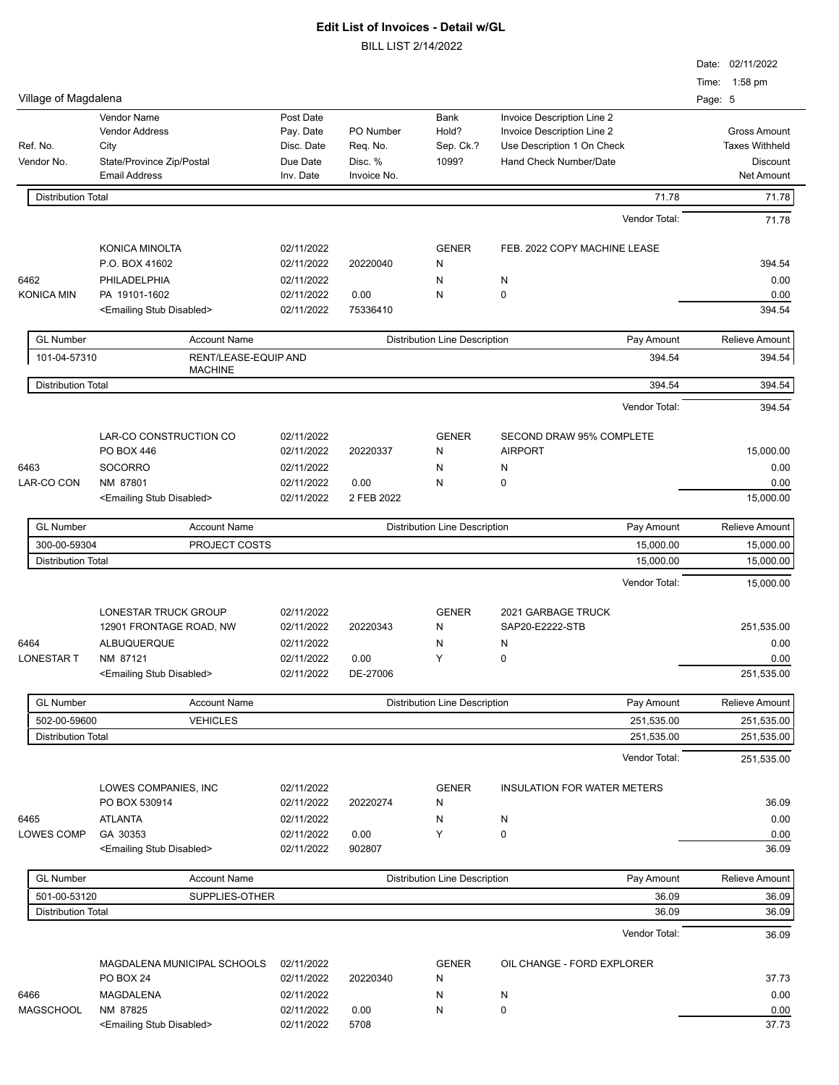|                           |                                           |            |             |                                      |                                    | Date: 02/11/2022         |
|---------------------------|-------------------------------------------|------------|-------------|--------------------------------------|------------------------------------|--------------------------|
| Village of Magdalena      |                                           |            |             |                                      |                                    | Time: 1:58 pm<br>Page: 5 |
|                           | <b>Vendor Name</b>                        | Post Date  |             | <b>Bank</b>                          | Invoice Description Line 2         |                          |
|                           | <b>Vendor Address</b>                     | Pay. Date  | PO Number   | Hold?                                | Invoice Description Line 2         | <b>Gross Amount</b>      |
| Ref. No.                  | City                                      | Disc. Date | Reg. No.    | Sep. Ck.?                            | Use Description 1 On Check         | <b>Taxes Withheld</b>    |
| Vendor No.                | State/Province Zip/Postal                 | Due Date   | Disc. %     | 1099?                                | Hand Check Number/Date             | <b>Discount</b>          |
|                           | <b>Email Address</b>                      | Inv. Date  | Invoice No. |                                      |                                    | <b>Net Amount</b>        |
| <b>Distribution Total</b> |                                           |            |             |                                      | 71.78                              | 71.78                    |
|                           |                                           |            |             |                                      | Vendor Total:                      | 71.78                    |
|                           | KONICA MINOLTA                            | 02/11/2022 |             | <b>GENER</b>                         | FEB. 2022 COPY MACHINE LEASE       |                          |
|                           | P.O. BOX 41602                            | 02/11/2022 | 20220040    | Ν                                    |                                    | 394.54                   |
| 6462                      | PHILADELPHIA                              | 02/11/2022 |             | Ν                                    | N                                  | 0.00                     |
| <b>KONICA MIN</b>         | PA 19101-1602                             | 02/11/2022 | 0.00        | Ν                                    | 0                                  | 0.00                     |
|                           | <emailing disabled="" stub=""></emailing> | 02/11/2022 | 75336410    |                                      |                                    | 394.54                   |
| <b>GL Number</b>          | <b>Account Name</b>                       |            |             | <b>Distribution Line Description</b> | Pay Amount                         | <b>Relieve Amount</b>    |
| 101-04-57310              | RENT/LEASE-EQUIP AND                      |            |             |                                      | 394.54                             | 394.54                   |
| <b>Distribution Total</b> | <b>MACHINE</b>                            |            |             |                                      | 394.54                             | 394.54                   |
|                           |                                           |            |             |                                      | Vendor Total:                      | 394.54                   |
|                           | LAR-CO CONSTRUCTION CO                    | 02/11/2022 |             | <b>GENER</b>                         | <b>SECOND DRAW 95% COMPLETE</b>    |                          |
|                           | PO BOX 446                                | 02/11/2022 | 20220337    | Ν                                    | <b>AIRPORT</b>                     | 15,000.00                |
| 6463                      |                                           |            |             |                                      |                                    |                          |
|                           | <b>SOCORRO</b>                            | 02/11/2022 |             | Ν                                    | N                                  | 0.00                     |
| LAR-CO CON                | NM 87801                                  | 02/11/2022 | 0.00        | Ν                                    | 0                                  | 0.00                     |
|                           | <emailing disabled="" stub=""></emailing> | 02/11/2022 | 2 FEB 2022  |                                      |                                    | 15,000.00                |
| <b>GL Number</b>          | <b>Account Name</b>                       |            |             | <b>Distribution Line Description</b> | Pay Amount                         | <b>Relieve Amount</b>    |
| 300-00-59304              | PROJECT COSTS                             |            |             |                                      | 15,000.00                          | 15,000.00                |
| <b>Distribution Total</b> |                                           |            |             |                                      | 15,000.00                          | 15,000.00                |
|                           |                                           |            |             |                                      | Vendor Total:                      | 15,000.00                |
|                           | LONESTAR TRUCK GROUP                      | 02/11/2022 |             | <b>GENER</b>                         | 2021 GARBAGE TRUCK                 |                          |
|                           | 12901 FRONTAGE ROAD, NW                   | 02/11/2022 | 20220343    | Ν                                    | SAP20-E2222-STB                    | 251,535.00               |
| 6464                      | ALBUQUERQUE                               | 02/11/2022 |             | Ν                                    | N                                  | 0.00                     |
| <b>LONESTAR T</b>         | NM 87121                                  | 02/11/2022 | 0.00        | Y                                    | 0                                  | 0.00                     |
|                           | <emailing disabled="" stub=""></emailing> | 02/11/2022 | DE-27006    |                                      |                                    | 251,535.00               |
| <b>GL Number</b>          | <b>Account Name</b>                       |            |             | <b>Distribution Line Description</b> | Pay Amount                         | Relieve Amount           |
| 502-00-59600              | <b>VEHICLES</b>                           |            |             |                                      | 251,535.00                         | 251,535.00               |
| <b>Distribution Total</b> |                                           |            |             |                                      | 251,535.00                         | 251,535.00               |
|                           |                                           |            |             |                                      | Vendor Total:                      | 251,535.00               |
|                           | LOWES COMPANIES, INC                      | 02/11/2022 |             | <b>GENER</b>                         | <b>INSULATION FOR WATER METERS</b> |                          |
|                           | PO BOX 530914                             | 02/11/2022 | 20220274    | Ν                                    |                                    | 36.09                    |
| 6465                      | <b>ATLANTA</b>                            | 02/11/2022 |             | Ν                                    | N                                  | 0.00                     |
| LOWES COMP                | GA 30353                                  | 02/11/2022 | 0.00        | Υ                                    | 0                                  | 0.00                     |
|                           | <emailing disabled="" stub=""></emailing> | 02/11/2022 | 902807      |                                      |                                    | 36.09                    |
| <b>GL Number</b>          | <b>Account Name</b>                       |            |             | <b>Distribution Line Description</b> | Pay Amount                         | Relieve Amount           |
| 501-00-53120              | SUPPLIES-OTHER                            |            |             |                                      | 36.09                              | 36.09                    |
| <b>Distribution Total</b> |                                           |            |             |                                      | 36.09                              | 36.09                    |
|                           |                                           |            |             |                                      | Vendor Total:                      | 36.09                    |
|                           | MAGDALENA MUNICIPAL SCHOOLS               | 02/11/2022 |             | <b>GENER</b>                         | OIL CHANGE - FORD EXPLORER         |                          |
|                           | PO BOX 24                                 | 02/11/2022 | 20220340    | Ν                                    |                                    | 37.73                    |
| 6466                      | MAGDALENA                                 | 02/11/2022 |             | N                                    | N                                  | 0.00                     |
| <b>MAGSCHOOL</b>          | NM 87825                                  | 02/11/2022 | 0.00        | N                                    | 0                                  | 0.00                     |
|                           | <emailing disabled="" stub=""></emailing> | 02/11/2022 | 5708        |                                      |                                    | 37.73                    |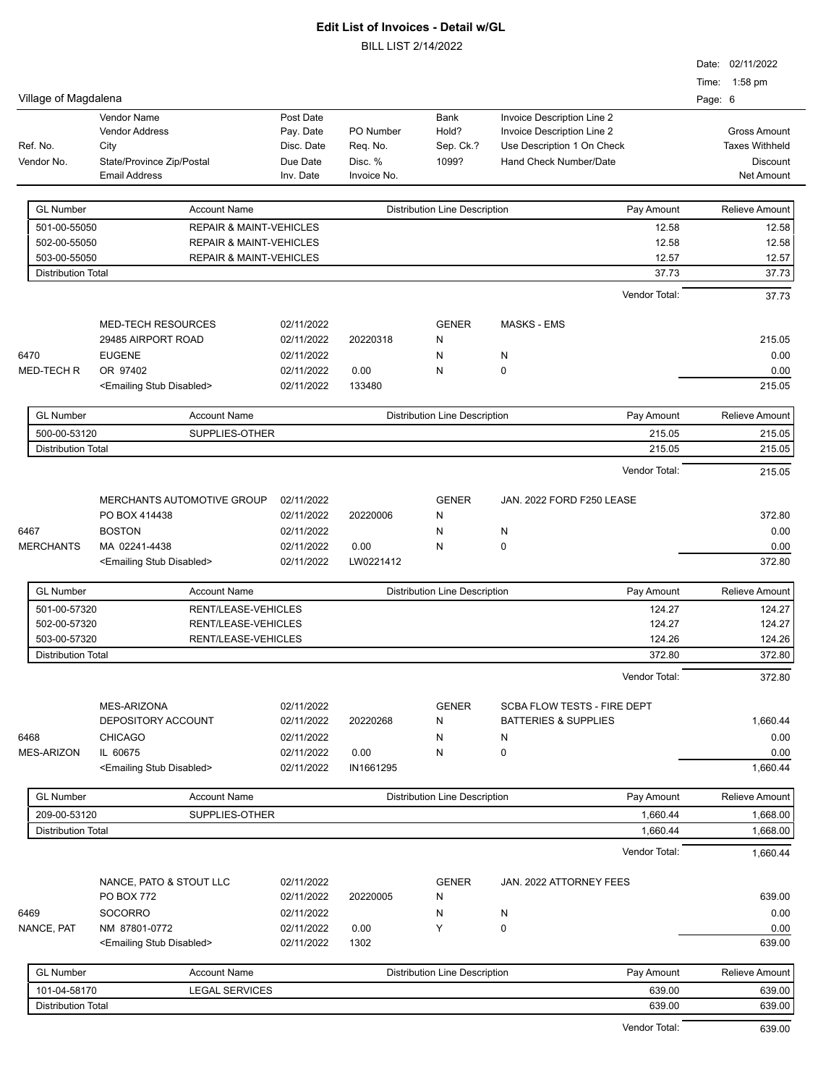|                           |                                           |            |             |                                      |                                    | Date: 02/11/2022      |
|---------------------------|-------------------------------------------|------------|-------------|--------------------------------------|------------------------------------|-----------------------|
|                           |                                           |            |             |                                      |                                    | Time: 1:58 pm         |
| Village of Magdalena      |                                           |            |             |                                      |                                    | Page: 6               |
|                           | Vendor Name                               | Post Date  |             | Bank                                 | Invoice Description Line 2         |                       |
|                           | <b>Vendor Address</b>                     | Pay. Date  | PO Number   | Hold?                                | Invoice Description Line 2         | <b>Gross Amount</b>   |
| Ref. No.                  | City                                      | Disc. Date | Req. No.    | Sep. Ck.?                            | Use Description 1 On Check         | <b>Taxes Withheld</b> |
| Vendor No.                | State/Province Zip/Postal                 | Due Date   | Disc. %     | 1099?                                | Hand Check Number/Date             | <b>Discount</b>       |
|                           | <b>Email Address</b>                      | Inv. Date  | Invoice No. |                                      |                                    | <b>Net Amount</b>     |
| <b>GL Number</b>          | <b>Account Name</b>                       |            |             | <b>Distribution Line Description</b> | Pay Amount                         | Relieve Amount        |
| 501-00-55050              | <b>REPAIR &amp; MAINT-VEHICLES</b>        |            |             |                                      | 12.58                              | 12.58                 |
| 502-00-55050              | <b>REPAIR &amp; MAINT-VEHICLES</b>        |            |             |                                      | 12.58                              | 12.58                 |
| 503-00-55050              | <b>REPAIR &amp; MAINT-VEHICLES</b>        |            |             |                                      | 12.57                              | 12.57                 |
| <b>Distribution Total</b> |                                           |            |             |                                      | 37.73                              | 37.73                 |
|                           |                                           |            |             |                                      | Vendor Total:                      | 37.73                 |
|                           |                                           |            |             |                                      |                                    |                       |
|                           | <b>MED-TECH RESOURCES</b>                 | 02/11/2022 |             | <b>GENER</b>                         | <b>MASKS - EMS</b>                 |                       |
|                           | 29485 AIRPORT ROAD                        | 02/11/2022 | 20220318    | N                                    |                                    | 215.05                |
| 6470                      | <b>EUGENE</b>                             | 02/11/2022 |             | N                                    | N                                  | 0.00                  |
| <b>MED-TECH R</b>         | OR 97402                                  | 02/11/2022 | 0.00        | N                                    | 0                                  | 0.00                  |
|                           | <emailing disabled="" stub=""></emailing> | 02/11/2022 | 133480      |                                      |                                    | 215.05                |
| <b>GL Number</b>          | <b>Account Name</b>                       |            |             | <b>Distribution Line Description</b> | Pay Amount                         | Relieve Amount        |
| 500-00-53120              | SUPPLIES-OTHER                            |            |             |                                      | 215.05                             | 215.05                |
| <b>Distribution Total</b> |                                           |            |             |                                      | 215.05                             | 215.05                |
|                           |                                           |            |             |                                      | Vendor Total:                      | 215.05                |
|                           |                                           |            |             |                                      |                                    |                       |
|                           | MERCHANTS AUTOMOTIVE GROUP                | 02/11/2022 |             | <b>GENER</b>                         | JAN. 2022 FORD F250 LEASE          |                       |
|                           | PO BOX 414438                             | 02/11/2022 | 20220006    | N                                    |                                    | 372.80                |
| 6467                      | <b>BOSTON</b>                             | 02/11/2022 |             | N                                    | N                                  | 0.00                  |
| <b>MERCHANTS</b>          | MA 02241-4438                             | 02/11/2022 | 0.00        | N                                    | 0                                  | 0.00                  |
|                           | <emailing disabled="" stub=""></emailing> | 02/11/2022 | LW0221412   |                                      |                                    | 372.80                |
| <b>GL Number</b>          | <b>Account Name</b>                       |            |             | <b>Distribution Line Description</b> | Pay Amount                         | Relieve Amount        |
| 501-00-57320              | RENT/LEASE-VEHICLES                       |            |             |                                      | 124.27                             | 124.27                |
| 502-00-57320              | RENT/LEASE-VEHICLES                       |            |             |                                      | 124.27                             | 124.27                |
| 503-00-57320              | RENT/LEASE-VEHICLES                       |            |             |                                      | 124.26                             | 124.26                |
| <b>Distribution Total</b> |                                           |            |             |                                      | 372.80                             | 372.80                |
|                           |                                           |            |             |                                      | Vendor Total:                      | 372.80                |
|                           |                                           |            |             |                                      |                                    |                       |
|                           | MES-ARIZONA                               | 02/11/2022 |             | <b>GENER</b>                         | <b>SCBA FLOW TESTS - FIRE DEPT</b> |                       |
|                           | DEPOSITORY ACCOUNT                        | 02/11/2022 | 20220268    | N                                    | <b>BATTERIES &amp; SUPPLIES</b>    | 1,660.44              |
| 6468                      | <b>CHICAGO</b>                            | 02/11/2022 |             | Ν                                    | N                                  | 0.00                  |
| <b>MES-ARIZON</b>         | IL 60675                                  | 02/11/2022 | 0.00        | Ν                                    | 0                                  | 0.00                  |
|                           | <emailing disabled="" stub=""></emailing> | 02/11/2022 | IN1661295   |                                      |                                    | 1,660.44              |
| <b>GL Number</b>          | <b>Account Name</b>                       |            |             | <b>Distribution Line Description</b> | Pay Amount                         | Relieve Amount        |
| 209-00-53120              | SUPPLIES-OTHER                            |            |             |                                      | 1,660.44                           | 1,668.00              |
| <b>Distribution Total</b> |                                           |            |             |                                      | 1,660.44                           | 1,668.00              |
|                           |                                           |            |             |                                      | Vendor Total:                      | 1,660.44              |
|                           | NANCE, PATO & STOUT LLC                   | 02/11/2022 |             | <b>GENER</b>                         |                                    |                       |
|                           | PO BOX 772                                | 02/11/2022 | 20220005    | Ν                                    | JAN. 2022 ATTORNEY FEES            | 639.00                |
| 6469                      | SOCORRO                                   | 02/11/2022 |             | N                                    | N                                  | 0.00                  |
| NANCE, PAT                | NM 87801-0772                             | 02/11/2022 | 0.00        | Y                                    | $\mathbf 0$                        | 0.00                  |
|                           | <emailing disabled="" stub=""></emailing> | 02/11/2022 | 1302        |                                      |                                    | 639.00                |
|                           |                                           |            |             |                                      |                                    |                       |
| <b>GL Number</b>          | <b>Account Name</b>                       |            |             | <b>Distribution Line Description</b> | Pay Amount                         | Relieve Amount        |
| 101-04-58170              | <b>LEGAL SERVICES</b>                     |            |             |                                      | 639.00                             | 639.00                |
| <b>Distribution Total</b> |                                           |            |             |                                      | 639.00                             | 639.00                |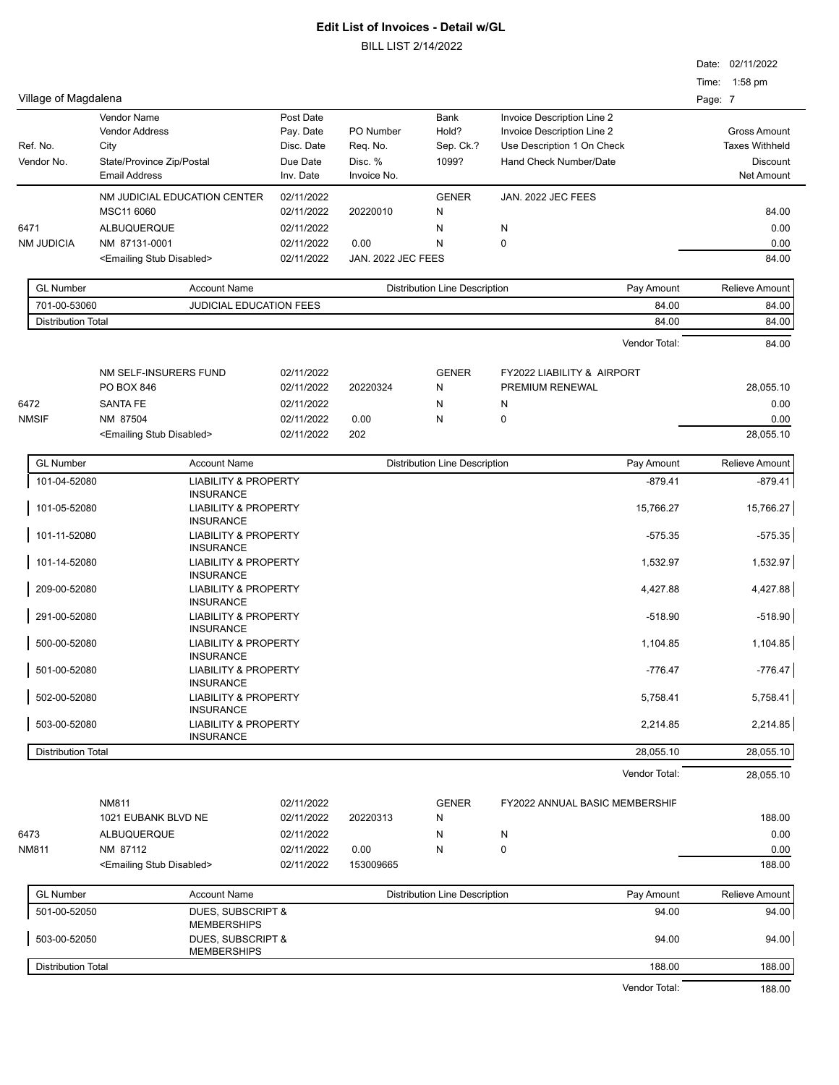BILL LIST 2/14/2022

|                           |                                                                         |                         |                       |                                      |                                                          |         | Date: 02/11/2022                             |
|---------------------------|-------------------------------------------------------------------------|-------------------------|-----------------------|--------------------------------------|----------------------------------------------------------|---------|----------------------------------------------|
|                           |                                                                         |                         |                       |                                      |                                                          |         | Time: 1:58 pm                                |
| Village of Magdalena      |                                                                         |                         |                       |                                      |                                                          | Page: 7 |                                              |
|                           | Vendor Name                                                             | Post Date               |                       | Bank                                 | Invoice Description Line 2                               |         |                                              |
| Ref. No.                  | <b>Vendor Address</b><br>City                                           | Pay. Date<br>Disc. Date | PO Number<br>Req. No. | Hold?<br>Sep. Ck.?                   | Invoice Description Line 2<br>Use Description 1 On Check |         | <b>Gross Amount</b><br><b>Taxes Withheld</b> |
| Vendor No.                | State/Province Zip/Postal                                               | Due Date                | Disc. %               | 1099?                                | Hand Check Number/Date                                   |         | Discount                                     |
|                           | <b>Email Address</b>                                                    | Inv. Date               | Invoice No.           |                                      |                                                          |         | Net Amount                                   |
|                           | NM JUDICIAL EDUCATION CENTER                                            | 02/11/2022              |                       | <b>GENER</b>                         | JAN. 2022 JEC FEES                                       |         |                                              |
|                           | MSC11 6060                                                              | 02/11/2022              | 20220010              | N                                    |                                                          |         | 84.00                                        |
| 6471                      | <b>ALBUQUERQUE</b>                                                      | 02/11/2022              |                       | N                                    | N                                                        |         | 0.00                                         |
| <b>NM JUDICIA</b>         | NM 87131-0001                                                           | 02/11/2022              | 0.00                  | N                                    | 0                                                        |         | 0.00                                         |
|                           | <emailing disabled="" stub=""></emailing>                               | 02/11/2022              | JAN. 2022 JEC FEES    |                                      |                                                          |         | 84.00                                        |
| <b>GL Number</b>          | <b>Account Name</b>                                                     |                         |                       | Distribution Line Description        | Pay Amount                                               |         | <b>Relieve Amount</b>                        |
| 701-00-53060              | JUDICIAL EDUCATION FEES                                                 |                         |                       |                                      | 84.00                                                    |         | 84.00                                        |
| <b>Distribution Total</b> |                                                                         |                         |                       |                                      | 84.00                                                    |         | 84.00                                        |
|                           |                                                                         |                         |                       |                                      | Vendor Total:                                            |         | 84.00                                        |
|                           | NM SELF-INSURERS FUND                                                   | 02/11/2022              |                       | <b>GENER</b>                         | <b>FY2022 LIABILITY &amp; AIRPORT</b>                    |         |                                              |
|                           | PO BOX 846                                                              | 02/11/2022              | 20220324              | N                                    | PREMIUM RENEWAL                                          |         | 28,055.10                                    |
| 6472                      | <b>SANTA FE</b>                                                         | 02/11/2022              |                       | N                                    | N                                                        |         | 0.00                                         |
| <b>NMSIF</b>              | NM 87504                                                                | 02/11/2022              | 0.00                  | N                                    | 0                                                        |         | 0.00                                         |
|                           | <emailing disabled="" stub=""></emailing>                               | 02/11/2022              | 202                   |                                      |                                                          |         | 28,055.10                                    |
| <b>GL Number</b>          | <b>Account Name</b>                                                     |                         |                       | <b>Distribution Line Description</b> | Pay Amount                                               |         | <b>Relieve Amount</b>                        |
| 101-04-52080              | <b>LIABILITY &amp; PROPERTY</b>                                         |                         |                       |                                      | $-879.41$                                                |         | $-879.41$                                    |
| 101-05-52080              | <b>INSURANCE</b><br><b>LIABILITY &amp; PROPERTY</b><br><b>INSURANCE</b> |                         |                       |                                      | 15,766.27                                                |         | 15,766.27                                    |
| 101-11-52080              | <b>LIABILITY &amp; PROPERTY</b><br><b>INSURANCE</b>                     |                         |                       |                                      | $-575.35$                                                |         | $-575.35$                                    |
| 101-14-52080              | <b>LIABILITY &amp; PROPERTY</b><br><b>INSURANCE</b>                     |                         |                       |                                      | 1,532.97                                                 |         | 1,532.97                                     |
| 209-00-52080              | <b>LIABILITY &amp; PROPERTY</b><br><b>INSURANCE</b>                     |                         |                       |                                      | 4,427.88                                                 |         | 4,427.88                                     |
| 291-00-52080              | <b>LIABILITY &amp; PROPERTY</b><br><b>INSURANCE</b>                     |                         |                       |                                      | $-518.90$                                                |         | $-518.90$                                    |
| 500-00-52080              | <b>LIABILITY &amp; PROPERTY</b><br><b>INSURANCE</b>                     |                         |                       |                                      | 1,104.85                                                 |         | 1,104.85                                     |
| 501-00-52080              | <b>LIABILITY &amp; PROPERTY</b><br><b>INSURANCE</b>                     |                         |                       |                                      | -776.47                                                  |         | -776.47                                      |
| 502-00-52080              | <b>LIABILITY &amp; PROPERTY</b><br><b>INSURANCE</b>                     |                         |                       |                                      | 5,758.41                                                 |         | 5,758.41                                     |
| 503-00-52080              | <b>LIABILITY &amp; PROPERTY</b><br><b>INSURANCE</b>                     |                         |                       |                                      | 2,214.85                                                 |         | 2,214.85                                     |
| <b>Distribution Total</b> |                                                                         |                         |                       |                                      | 28,055.10                                                |         | 28,055.10                                    |
|                           |                                                                         |                         |                       |                                      | Vendor Total:                                            |         | 28,055.10                                    |
|                           | NM811                                                                   | 02/11/2022              |                       | <b>GENER</b>                         | FY2022 ANNUAL BASIC MEMBERSHIF                           |         |                                              |
|                           | 1021 EUBANK BLVD NE                                                     | 02/11/2022              | 20220313              | N                                    |                                                          |         | 188.00                                       |
| 6473                      | ALBUQUERQUE                                                             | 02/11/2022              |                       | N                                    | N                                                        |         | 0.00                                         |
| <b>NM811</b>              | NM 87112                                                                | 02/11/2022              | 0.00                  | N                                    | 0                                                        |         | 0.00                                         |
|                           | <emailing disabled="" stub=""></emailing>                               | 02/11/2022              | 153009665             |                                      |                                                          |         | 188.00                                       |
| <b>GL Number</b>          | <b>Account Name</b>                                                     |                         |                       | <b>Distribution Line Description</b> | Pay Amount                                               |         | <b>Relieve Amount</b>                        |
| 501-00-52050              | DUES, SUBSCRIPT &<br><b>MEMBERSHIPS</b>                                 |                         |                       |                                      | 94.00                                                    |         | 94.00                                        |
| 503-00-52050              | DUES, SUBSCRIPT &<br><b>MEMBERSHIPS</b>                                 |                         |                       |                                      | 94.00                                                    |         | 94.00                                        |
| Distribution Total        |                                                                         |                         |                       |                                      | 188.00                                                   |         | 188.00                                       |
|                           |                                                                         |                         |                       |                                      |                                                          |         |                                              |

Vendor Total: 188.00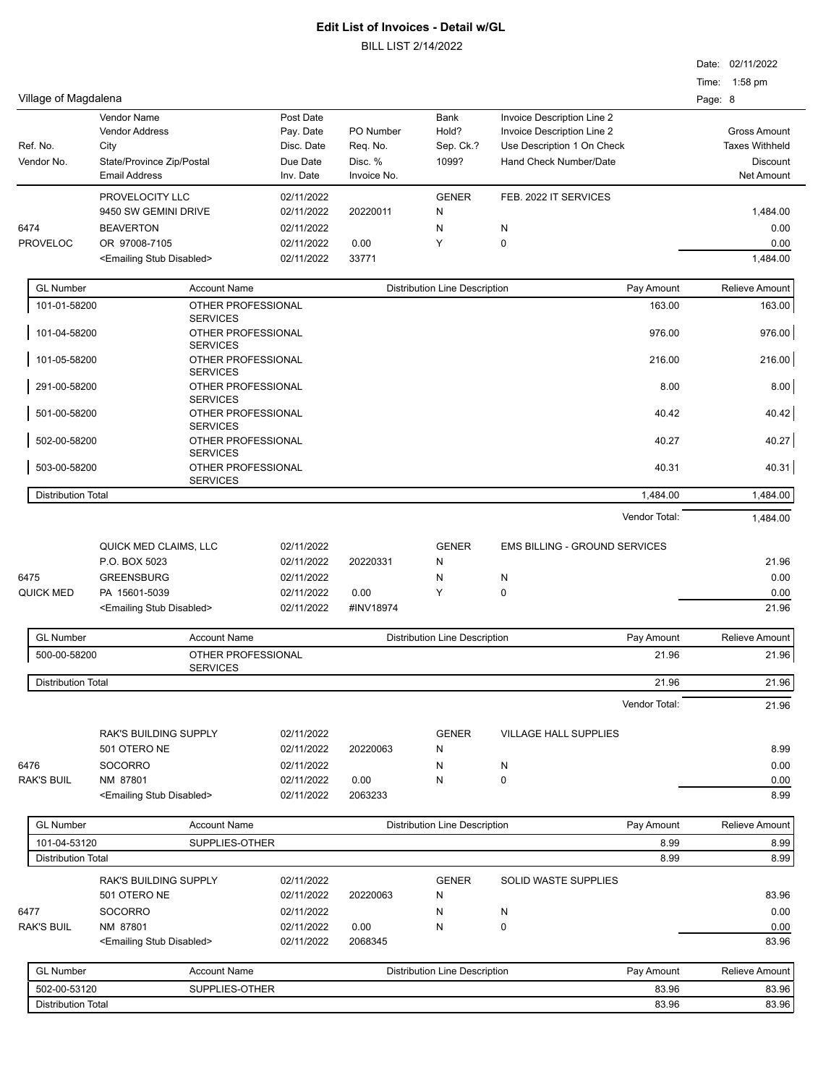BILL LIST 2/14/2022

|                           |                                                       |                          |                                                    |                                      |                               | Date: 02/11/2022      |
|---------------------------|-------------------------------------------------------|--------------------------|----------------------------------------------------|--------------------------------------|-------------------------------|-----------------------|
|                           |                                                       |                          |                                                    |                                      |                               | Time: 1:58 pm         |
| Village of Magdalena      |                                                       |                          |                                                    |                                      |                               | Page: 8               |
|                           | Vendor Name                                           | Post Date                |                                                    | Bank                                 | Invoice Description Line 2    |                       |
|                           | <b>Vendor Address</b>                                 | Pay. Date                | PO Number                                          | Hold?                                | Invoice Description Line 2    | <b>Gross Amount</b>   |
| Ref. No.                  | City                                                  | Disc. Date               | Req. No.                                           | Sep. Ck.?                            | Use Description 1 On Check    | <b>Taxes Withheld</b> |
| Vendor No.                | State/Province Zip/Postal                             | Due Date                 | Disc. %                                            | 1099?                                | Hand Check Number/Date        | Discount              |
|                           | <b>Email Address</b>                                  | Inv. Date                | Invoice No.                                        |                                      |                               | Net Amount            |
|                           | PROVELOCITY LLC                                       | 02/11/2022               |                                                    | <b>GENER</b>                         | FEB. 2022 IT SERVICES         |                       |
|                           | 9450 SW GEMINI DRIVE                                  | 02/11/2022               | 20220011                                           | N                                    |                               | 1,484.00              |
| 6474                      | <b>BEAVERTON</b>                                      | 02/11/2022               |                                                    | N                                    | N                             | 0.00                  |
| <b>PROVELOC</b>           | OR 97008-7105                                         | 02/11/2022               | 0.00                                               | Υ                                    | 0                             | 0.00                  |
|                           | <emailing disabled="" stub=""></emailing>             | 02/11/2022               | 33771                                              |                                      |                               | 1,484.00              |
|                           |                                                       |                          |                                                    |                                      |                               |                       |
| <b>GL Number</b>          | <b>Account Name</b>                                   |                          |                                                    | <b>Distribution Line Description</b> | Pay Amount                    | Relieve Amount        |
| 101-01-58200              | OTHER PROFESSIONAL<br><b>SERVICES</b>                 |                          |                                                    |                                      | 163.00                        | 163.00                |
| 101-04-58200              | OTHER PROFESSIONAL<br><b>SERVICES</b>                 |                          |                                                    |                                      | 976.00                        | 976.00                |
| 101-05-58200              | OTHER PROFESSIONAL<br><b>SERVICES</b>                 |                          |                                                    |                                      | 216.00                        | 216.00                |
| 291-00-58200              | OTHER PROFESSIONAL<br><b>SERVICES</b>                 |                          |                                                    |                                      | 8.00                          | 8.00                  |
| 501-00-58200              | OTHER PROFESSIONAL<br><b>SERVICES</b>                 |                          |                                                    |                                      | 40.42                         | 40.42                 |
| 502-00-58200              | OTHER PROFESSIONAL<br><b>SERVICES</b>                 |                          |                                                    |                                      | 40.27                         | 40.27                 |
| 503-00-58200              | OTHER PROFESSIONAL<br><b>SERVICES</b>                 |                          |                                                    |                                      | 40.31                         | 40.31                 |
| <b>Distribution Total</b> |                                                       |                          |                                                    |                                      | 1,484.00                      | 1,484.00              |
|                           |                                                       |                          |                                                    |                                      | Vendor Total:                 | 1,484.00              |
|                           |                                                       |                          |                                                    |                                      |                               |                       |
|                           | QUICK MED CLAIMS, LLC                                 | 02/11/2022               |                                                    | <b>GENER</b>                         | EMS BILLING - GROUND SERVICES |                       |
|                           | P.O. BOX 5023                                         | 02/11/2022               | 20220331                                           | N                                    |                               | 21.96                 |
| 6475                      | <b>GREENSBURG</b>                                     | 02/11/2022               |                                                    | N                                    | N                             | 0.00                  |
| <b>QUICK MED</b>          | PA 15601-5039                                         | 02/11/2022               | 0.00                                               | Υ                                    | 0                             | 0.00                  |
|                           | <emailing disabled="" stub=""></emailing>             | 02/11/2022               | #INV18974                                          |                                      |                               | 21.96                 |
| <b>GL Number</b>          | <b>Account Name</b>                                   |                          | <b>Distribution Line Description</b><br>Pay Amount |                                      |                               | <b>Relieve Amount</b> |
| 500-00-58200              | OTHER PROFESSIONAL                                    |                          |                                                    |                                      | 21.96                         | 21.96                 |
|                           | <b>SERVICES</b>                                       |                          |                                                    |                                      |                               |                       |
| <b>Distribution Total</b> |                                                       |                          |                                                    |                                      | 21.96                         | 21.96                 |
|                           |                                                       |                          |                                                    |                                      | Vendor Total:                 | 21.96                 |
|                           | RAK'S BUILDING SUPPLY                                 | 02/11/2022               |                                                    | <b>GENER</b>                         | <b>VILLAGE HALL SUPPLIES</b>  |                       |
|                           | 501 OTERO NE                                          | 02/11/2022               | 20220063                                           | N                                    |                               | 8.99                  |
| 6476                      | <b>SOCORRO</b>                                        | 02/11/2022               |                                                    | N                                    | N                             | 0.00                  |
| <b>RAK'S BUIL</b>         | NM 87801                                              | 02/11/2022               | 0.00                                               | N                                    | 0                             | 0.00                  |
|                           | <emailing disabled="" stub=""></emailing>             | 02/11/2022               | 2063233                                            |                                      |                               | 8.99                  |
| <b>GL Number</b>          | <b>Account Name</b>                                   |                          |                                                    | <b>Distribution Line Description</b> | Pay Amount                    | <b>Relieve Amount</b> |
| 101-04-53120              | SUPPLIES-OTHER                                        |                          |                                                    |                                      | 8.99                          | 8.99                  |
| <b>Distribution Total</b> |                                                       |                          |                                                    |                                      | 8.99                          | 8.99                  |
|                           | <b>RAK'S BUILDING SUPPLY</b>                          | 02/11/2022               |                                                    | <b>GENER</b>                         | <b>SOLID WASTE SUPPLIES</b>   |                       |
|                           | 501 OTERO NE                                          | 02/11/2022               | 20220063                                           | N                                    |                               | 83.96                 |
|                           |                                                       |                          |                                                    |                                      |                               |                       |
| 6477                      | <b>SOCORRO</b>                                        | 02/11/2022               |                                                    | N                                    | N                             | 0.00                  |
| <b>RAK'S BUIL</b>         | NM 87801<br><emailing disabled="" stub=""></emailing> | 02/11/2022<br>02/11/2022 | 0.00<br>2068345                                    | N                                    | 0                             | 0.00<br>83.96         |
|                           |                                                       |                          |                                                    |                                      |                               |                       |
| <b>GL Number</b>          | <b>Account Name</b>                                   |                          |                                                    | <b>Distribution Line Description</b> | Pay Amount                    | <b>Relieve Amount</b> |
| 502-00-53120              | SUPPLIES-OTHER                                        |                          |                                                    |                                      | 83.96                         | 83.96                 |

Distribution Total 83.96 83.96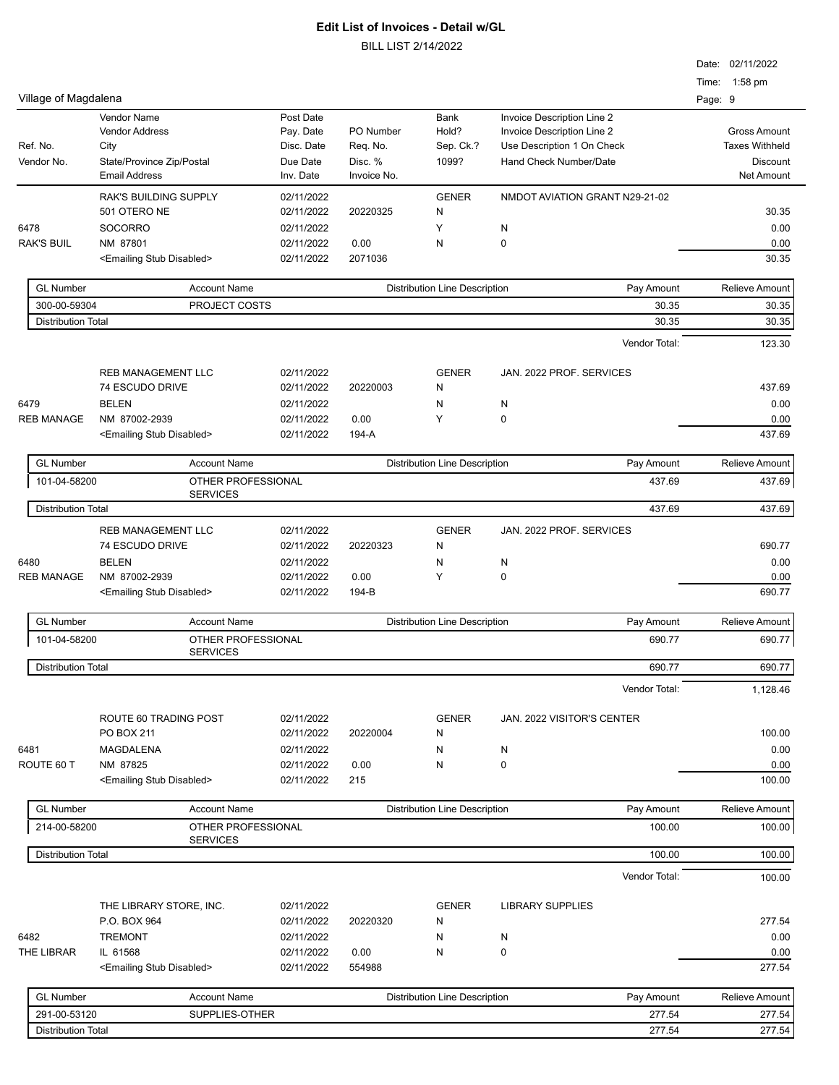|                           |                                              |                          |                       |                                      |                                                          |        | Date: 02/11/2022                             |
|---------------------------|----------------------------------------------|--------------------------|-----------------------|--------------------------------------|----------------------------------------------------------|--------|----------------------------------------------|
|                           |                                              |                          |                       |                                      |                                                          |        | Time: 1:58 pm                                |
| Village of Magdalena      |                                              |                          |                       |                                      |                                                          |        | Page: 9                                      |
|                           | <b>Vendor Name</b>                           | Post Date                |                       | <b>Bank</b>                          | Invoice Description Line 2                               |        |                                              |
| Ref. No.                  | <b>Vendor Address</b><br>City                | Pay. Date<br>Disc. Date  | PO Number<br>Req. No. | Hold?<br>Sep. Ck.?                   | Invoice Description Line 2<br>Use Description 1 On Check |        | <b>Gross Amount</b><br><b>Taxes Withheld</b> |
| Vendor No.                | State/Province Zip/Postal                    | Due Date                 | Disc. %               | 1099?                                | Hand Check Number/Date                                   |        | <b>Discount</b>                              |
|                           | <b>Email Address</b>                         | Inv. Date                | Invoice No.           |                                      |                                                          |        | <b>Net Amount</b>                            |
|                           | <b>RAK'S BUILDING SUPPLY</b>                 | 02/11/2022               |                       | <b>GENER</b>                         | NMDOT AVIATION GRANT N29-21-02                           |        |                                              |
|                           | 501 OTERO NE                                 | 02/11/2022               | 20220325              | Ν                                    |                                                          |        | 30.35                                        |
| 6478                      | <b>SOCORRO</b>                               | 02/11/2022               |                       | Υ                                    | N                                                        |        | 0.00                                         |
| <b>RAK'S BUIL</b>         | NM 87801                                     | 02/11/2022               | 0.00                  | N                                    | 0                                                        |        | 0.00                                         |
|                           | <emailing disabled="" stub=""></emailing>    | 02/11/2022               | 2071036               |                                      |                                                          |        | 30.35                                        |
| <b>GL Number</b>          | <b>Account Name</b>                          |                          |                       | <b>Distribution Line Description</b> | Pay Amount                                               |        | <b>Relieve Amount</b>                        |
| 300-00-59304              | PROJECT COSTS                                |                          |                       |                                      |                                                          | 30.35  | 30.35                                        |
| <b>Distribution Total</b> |                                              |                          |                       |                                      |                                                          | 30.35  | 30.35                                        |
|                           |                                              |                          |                       |                                      | Vendor Total:                                            |        | 123.30                                       |
|                           |                                              |                          |                       |                                      |                                                          |        |                                              |
|                           | <b>REB MANAGEMENT LLC</b><br>74 ESCUDO DRIVE | 02/11/2022<br>02/11/2022 | 20220003              | <b>GENER</b><br>N                    | JAN. 2022 PROF. SERVICES                                 |        | 437.69                                       |
| 6479                      | <b>BELEN</b>                                 | 02/11/2022               |                       |                                      |                                                          |        | 0.00                                         |
| <b>REB MANAGE</b>         | NM 87002-2939                                | 02/11/2022               | 0.00                  | Ν<br>Y                               | N<br>0                                                   |        | 0.00                                         |
|                           | <emailing disabled="" stub=""></emailing>    | 02/11/2022               | 194-A                 |                                      |                                                          |        | 437.69                                       |
|                           |                                              |                          |                       |                                      |                                                          |        |                                              |
| <b>GL Number</b>          | <b>Account Name</b>                          |                          |                       | <b>Distribution Line Description</b> | Pay Amount                                               |        | <b>Relieve Amount</b>                        |
| 101-04-58200              | OTHER PROFESSIONAL<br><b>SERVICES</b>        |                          |                       |                                      |                                                          | 437.69 | 437.69                                       |
| <b>Distribution Total</b> |                                              |                          |                       |                                      |                                                          | 437.69 | 437.69                                       |
|                           | <b>REB MANAGEMENT LLC</b>                    | 02/11/2022               |                       | <b>GENER</b>                         | JAN. 2022 PROF. SERVICES                                 |        |                                              |
|                           | 74 ESCUDO DRIVE                              | 02/11/2022               | 20220323              | Ν                                    |                                                          |        | 690.77                                       |
| 6480                      | <b>BELEN</b>                                 | 02/11/2022               |                       | Ν                                    | N                                                        |        | 0.00                                         |
| <b>REB MANAGE</b>         | NM 87002-2939                                | 02/11/2022               | 0.00                  | Y                                    | 0                                                        |        | 0.00                                         |
|                           | <emailing disabled="" stub=""></emailing>    | 02/11/2022               | 194-B                 |                                      |                                                          |        | 690.77                                       |
| <b>GL Number</b>          | <b>Account Name</b>                          |                          |                       | <b>Distribution Line Description</b> | Pay Amount                                               |        | <b>Relieve Amount</b>                        |
| 101-04-58200              | OTHER PROFESSIONAL                           |                          |                       |                                      |                                                          | 690.77 | 690.77                                       |
| <b>Distribution Total</b> | <b>SERVICES</b>                              |                          |                       |                                      |                                                          | 690.77 | 690.77                                       |
|                           |                                              |                          |                       |                                      | Vendor Total:                                            |        | 1,128.46                                     |
|                           |                                              |                          |                       |                                      |                                                          |        |                                              |
|                           | ROUTE 60 TRADING POST                        | 02/11/2022               |                       | <b>GENER</b>                         | JAN. 2022 VISITOR'S CENTER                               |        |                                              |
|                           | PO BOX 211                                   | 02/11/2022               | 20220004              | N                                    |                                                          |        | 100.00                                       |
| 6481                      | MAGDALENA                                    | 02/11/2022               |                       | Ν                                    | N                                                        |        | 0.00                                         |
| ROUTE 60 T                | NM 87825                                     | 02/11/2022               | 0.00                  | Ν                                    | 0                                                        |        | 0.00                                         |
|                           | <emailing disabled="" stub=""></emailing>    | 02/11/2022               | 215                   |                                      |                                                          |        | 100.00                                       |
| <b>GL Number</b>          | <b>Account Name</b>                          |                          |                       | <b>Distribution Line Description</b> | Pay Amount                                               |        | <b>Relieve Amount</b>                        |
| 214-00-58200              | OTHER PROFESSIONAL<br><b>SERVICES</b>        |                          |                       |                                      |                                                          | 100.00 | 100.00                                       |
| <b>Distribution Total</b> |                                              |                          |                       |                                      |                                                          | 100.00 | 100.00                                       |
|                           |                                              |                          |                       |                                      | Vendor Total:                                            |        | 100.00                                       |
|                           | THE LIBRARY STORE, INC.                      | 02/11/2022               |                       | <b>GENER</b>                         | <b>LIBRARY SUPPLIES</b>                                  |        |                                              |
|                           | P.O. BOX 964                                 | 02/11/2022               | 20220320              | N                                    |                                                          |        | 277.54                                       |
| 6482                      | <b>TREMONT</b>                               | 02/11/2022               |                       | N                                    | N                                                        |        | 0.00                                         |
| THE LIBRAR                | IL 61568                                     | 02/11/2022               | 0.00                  | Ν                                    | 0                                                        |        | 0.00                                         |
|                           | <emailing disabled="" stub=""></emailing>    | 02/11/2022               | 554988                |                                      |                                                          |        | 277.54                                       |
| <b>GL Number</b>          | <b>Account Name</b>                          |                          |                       | <b>Distribution Line Description</b> | Pay Amount                                               |        | Relieve Amount                               |
| 291-00-53120              | SUPPLIES-OTHER                               |                          |                       |                                      |                                                          | 277.54 | 277.54                                       |
| <b>Distribution Total</b> |                                              |                          |                       |                                      |                                                          | 277.54 | 277.54                                       |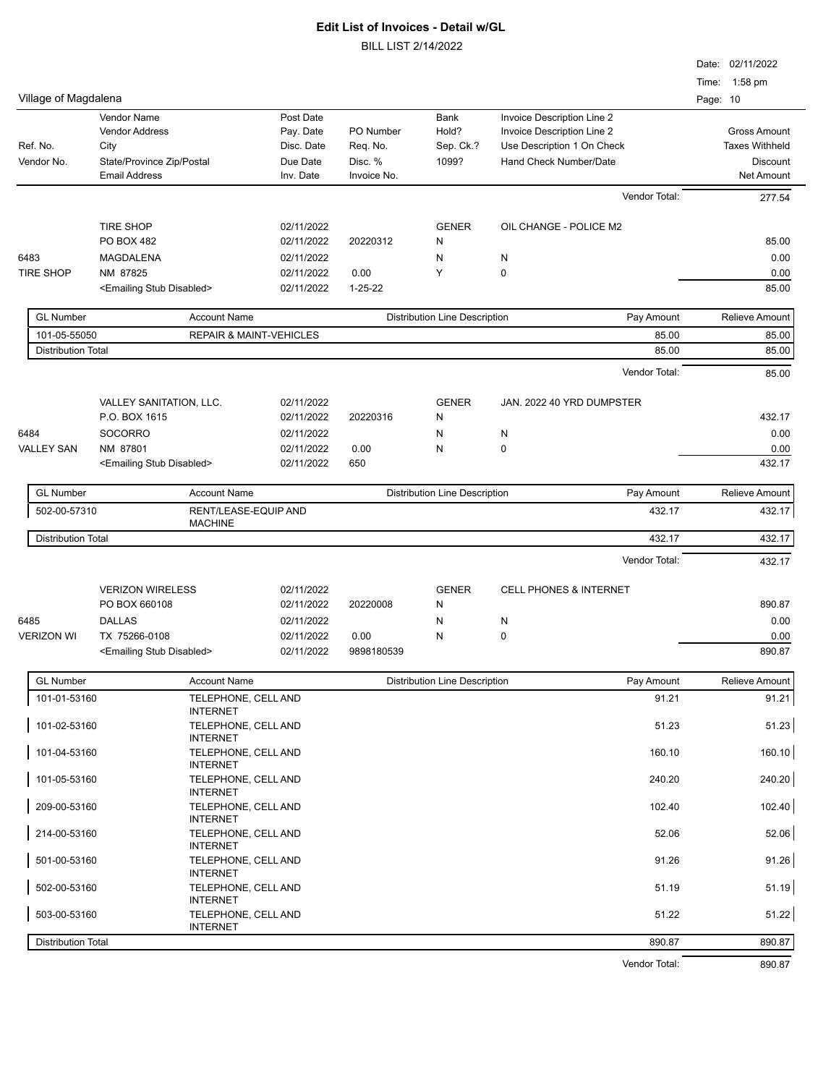|                           |                                           |                                    |               |                                      |                                   | Date: 02/11/2022      |
|---------------------------|-------------------------------------------|------------------------------------|---------------|--------------------------------------|-----------------------------------|-----------------------|
|                           |                                           |                                    |               |                                      |                                   | Time: 1:58 pm         |
| Village of Magdalena      |                                           |                                    |               |                                      |                                   | Page: 10              |
|                           | <b>Vendor Name</b>                        | Post Date                          |               | <b>Bank</b>                          | Invoice Description Line 2        |                       |
|                           | <b>Vendor Address</b>                     | Pay. Date                          | PO Number     | Hold?                                | Invoice Description Line 2        | <b>Gross Amount</b>   |
| Ref. No.                  | City                                      | Disc. Date                         | Req. No.      | Sep. Ck.?                            | Use Description 1 On Check        | <b>Taxes Withheld</b> |
| Vendor No.                | State/Province Zip/Postal                 | Due Date                           | Disc. %       | 1099?                                | Hand Check Number/Date            | <b>Discount</b>       |
|                           | <b>Email Address</b>                      | Inv. Date                          | Invoice No.   |                                      |                                   | Net Amount            |
|                           |                                           |                                    |               |                                      | Vendor Total:                     | 277.54                |
|                           | <b>TIRE SHOP</b>                          | 02/11/2022                         |               | <b>GENER</b>                         | OIL CHANGE - POLICE M2            |                       |
|                           | <b>PO BOX 482</b>                         | 02/11/2022                         | 20220312      | N                                    |                                   | 85.00                 |
| 6483                      | MAGDALENA                                 | 02/11/2022                         |               | N                                    | N                                 | 0.00                  |
| <b>TIRE SHOP</b>          | NM 87825                                  | 02/11/2022                         | 0.00          | Y                                    | $\pmb{0}$                         | 0.00                  |
|                           | <emailing disabled="" stub=""></emailing> | 02/11/2022                         | $1 - 25 - 22$ |                                      |                                   | 85.00                 |
|                           |                                           |                                    |               |                                      |                                   |                       |
| <b>GL Number</b>          | <b>Account Name</b>                       |                                    |               | <b>Distribution Line Description</b> | Pay Amount                        | <b>Relieve Amount</b> |
| 101-05-55050              |                                           | <b>REPAIR &amp; MAINT-VEHICLES</b> |               |                                      | 85.00                             | 85.00                 |
| <b>Distribution Total</b> |                                           |                                    |               |                                      | 85.00                             | 85.00                 |
|                           |                                           |                                    |               |                                      | Vendor Total:                     | 85.00                 |
|                           |                                           |                                    |               |                                      | JAN. 2022 40 YRD DUMPSTER         |                       |
|                           | VALLEY SANITATION, LLC.<br>P.O. BOX 1615  | 02/11/2022<br>02/11/2022           | 20220316      | <b>GENER</b><br>N                    |                                   | 432.17                |
| 6484                      | <b>SOCORRO</b>                            | 02/11/2022                         |               | N                                    | N                                 | 0.00                  |
| <b>VALLEY SAN</b>         | NM 87801                                  | 02/11/2022                         | 0.00          | N                                    | 0                                 | 0.00                  |
|                           | <emailing disabled="" stub=""></emailing> | 02/11/2022                         | 650           |                                      |                                   | 432.17                |
|                           |                                           |                                    |               |                                      |                                   |                       |
| <b>GL Number</b>          | <b>Account Name</b>                       |                                    |               | <b>Distribution Line Description</b> | Pay Amount                        | <b>Relieve Amount</b> |
| 502-00-57310              | <b>MACHINE</b>                            | RENT/LEASE-EQUIP AND               |               |                                      | 432.17                            | 432.17                |
| <b>Distribution Total</b> |                                           |                                    |               |                                      | 432.17                            | 432.17                |
|                           |                                           |                                    |               |                                      | Vendor Total:                     | 432.17                |
|                           |                                           |                                    |               |                                      |                                   |                       |
|                           | <b>VERIZON WIRELESS</b>                   | 02/11/2022                         |               | <b>GENER</b>                         | <b>CELL PHONES &amp; INTERNET</b> |                       |
|                           | PO BOX 660108                             | 02/11/2022                         | 20220008      | N                                    |                                   | 890.87                |
| 6485                      | <b>DALLAS</b>                             | 02/11/2022                         |               | N                                    | N                                 | 0.00                  |
| <b>VERIZON WI</b>         | TX 75266-0108                             | 02/11/2022                         | 0.00          | N                                    | 0                                 | 0.00                  |
|                           | <emailing disabled="" stub=""></emailing> | 02/11/2022                         | 9898180539    |                                      |                                   | 890.87                |
| <b>GL Number</b>          | <b>Account Name</b>                       |                                    |               | <b>Distribution Line Description</b> | Pay Amount                        | Relieve Amount        |
| 101-01-53160              |                                           | TELEPHONE, CELL AND                |               |                                      | 91.21                             | 91.21                 |
| 101-02-53160              | <b>INTERNET</b>                           | TELEPHONE, CELL AND                |               |                                      | 51.23                             | 51.23                 |
| 101-04-53160              | <b>INTERNET</b>                           | TELEPHONE, CELL AND                |               |                                      | 160.10                            | 160.10                |
| 101-05-53160              | <b>INTERNET</b>                           | TELEPHONE, CELL AND                |               |                                      | 240.20                            | 240.20                |
| 209-00-53160              | <b>INTERNET</b>                           | TELEPHONE, CELL AND                |               |                                      | 102.40                            | 102.40                |
| 214-00-53160              | <b>INTERNET</b>                           | TELEPHONE, CELL AND                |               |                                      | 52.06                             | 52.06                 |
| 501-00-53160              | <b>INTERNET</b><br><b>INTERNET</b>        | TELEPHONE, CELL AND                |               |                                      | 91.26                             | 91.26                 |
| 502-00-53160              | <b>INTERNET</b>                           | TELEPHONE, CELL AND                |               |                                      | 51.19                             | 51.19                 |
| 503-00-53160              | <b>INTERNET</b>                           | TELEPHONE, CELL AND                |               |                                      | 51.22                             | 51.22                 |
| <b>Distribution Total</b> |                                           |                                    |               |                                      | 890.87                            | 890.87                |
|                           |                                           |                                    |               |                                      | Vendor Total:                     | 890.87                |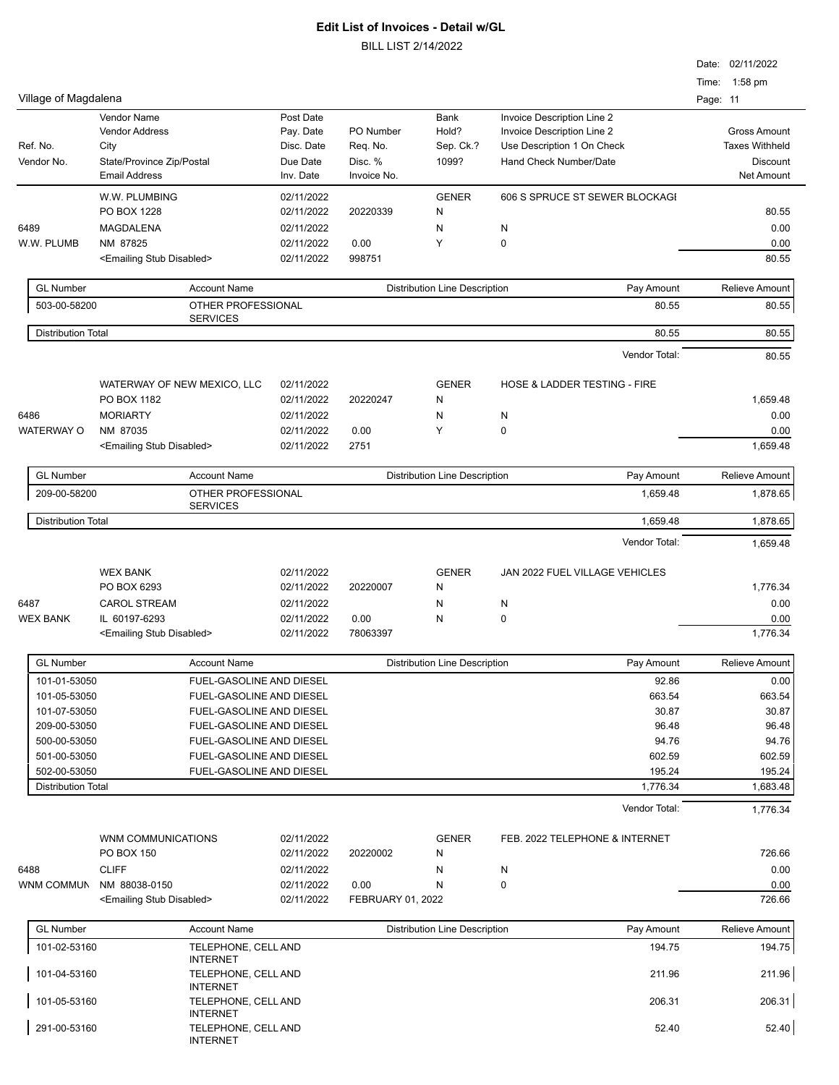|                           |                                           |                                        |            |                   |                                      |                                         | Date: 02/11/2022<br>1:58 pm<br>Time: |
|---------------------------|-------------------------------------------|----------------------------------------|------------|-------------------|--------------------------------------|-----------------------------------------|--------------------------------------|
| Village of Magdalena      |                                           |                                        |            |                   |                                      |                                         | Page: 11                             |
|                           | Vendor Name                               |                                        | Post Date  |                   | Bank                                 | Invoice Description Line 2              |                                      |
|                           | <b>Vendor Address</b>                     |                                        | Pay. Date  | PO Number         | Hold?                                | Invoice Description Line 2              | <b>Gross Amount</b>                  |
| Ref. No.                  | City                                      |                                        | Disc. Date | Req. No.          | Sep. Ck.?                            | Use Description 1 On Check              | <b>Taxes Withheld</b>                |
| Vendor No.                | State/Province Zip/Postal                 |                                        | Due Date   | Disc. %           | 1099?                                | Hand Check Number/Date                  | <b>Discount</b>                      |
|                           | <b>Email Address</b>                      |                                        | Inv. Date  | Invoice No.       |                                      |                                         | Net Amount                           |
|                           | W.W. PLUMBING                             |                                        | 02/11/2022 |                   | <b>GENER</b>                         | 606 S SPRUCE ST SEWER BLOCKAGI          |                                      |
|                           | PO BOX 1228                               |                                        | 02/11/2022 | 20220339          | N                                    |                                         | 80.55                                |
| 6489                      | MAGDALENA                                 |                                        | 02/11/2022 |                   | N                                    | N                                       | 0.00                                 |
| W.W. PLUMB                | NM 87825                                  |                                        | 02/11/2022 | 0.00              | Y                                    | $\mathbf 0$                             | 0.00                                 |
|                           | <emailing disabled="" stub=""></emailing> |                                        | 02/11/2022 | 998751            |                                      |                                         | 80.55                                |
| <b>GL Number</b>          |                                           | <b>Account Name</b>                    |            |                   | <b>Distribution Line Description</b> | Pay Amount                              | <b>Relieve Amount</b>                |
| 503-00-58200              |                                           | OTHER PROFESSIONAL                     |            |                   |                                      | 80.55                                   | 80.55                                |
|                           |                                           | <b>SERVICES</b>                        |            |                   |                                      |                                         |                                      |
| <b>Distribution Total</b> |                                           |                                        |            |                   |                                      | 80.55                                   | 80.55                                |
|                           |                                           |                                        |            |                   |                                      | Vendor Total:                           | 80.55                                |
|                           | WATERWAY OF NEW MEXICO, LLC               |                                        | 02/11/2022 |                   | <b>GENER</b>                         | <b>HOSE &amp; LADDER TESTING - FIRE</b> |                                      |
|                           | PO BOX 1182                               |                                        | 02/11/2022 | 20220247          | N                                    |                                         | 1.659.48                             |
| 6486                      | <b>MORIARTY</b>                           |                                        | 02/11/2022 |                   | N                                    | N                                       | 0.00                                 |
| <b>WATERWAY O</b>         | NM 87035                                  |                                        | 02/11/2022 | 0.00              | Y                                    | $\mathbf 0$                             | 0.00                                 |
|                           | <emailing disabled="" stub=""></emailing> |                                        | 02/11/2022 | 2751              |                                      |                                         | 1,659.48                             |
| <b>GL Number</b>          |                                           | <b>Account Name</b>                    |            |                   | <b>Distribution Line Description</b> | Pay Amount                              | <b>Relieve Amount</b>                |
| 209-00-58200              |                                           | OTHER PROFESSIONAL                     |            |                   |                                      | 1,659.48                                | 1,878.65                             |
|                           |                                           | <b>SERVICES</b>                        |            |                   |                                      |                                         |                                      |
| <b>Distribution Total</b> |                                           |                                        |            |                   |                                      | 1,659.48                                | 1,878.65                             |
|                           |                                           |                                        |            |                   |                                      | Vendor Total:                           | 1,659.48                             |
|                           | <b>WEX BANK</b>                           |                                        | 02/11/2022 |                   | <b>GENER</b>                         | JAN 2022 FUEL VILLAGE VEHICLES          |                                      |
|                           | PO BOX 6293                               |                                        | 02/11/2022 | 20220007          | N                                    |                                         | 1,776.34                             |
| 6487                      | <b>CAROL STREAM</b>                       |                                        | 02/11/2022 |                   | N                                    | N                                       | 0.00                                 |
| <b>WEX BANK</b>           | IL 60197-6293                             |                                        | 02/11/2022 | 0.00              | N                                    | 0                                       | 0.00                                 |
|                           | <emailing disabled="" stub=""></emailing> |                                        | 02/11/2022 | 78063397          |                                      |                                         | 1,776.34                             |
| <b>GL Number</b>          |                                           | <b>Account Name</b>                    |            |                   | <b>Distribution Line Description</b> | Pay Amount                              | <b>Relieve Amount</b>                |
| 101-01-53050              |                                           | FUEL-GASOLINE AND DIESEL               |            |                   |                                      | 92.86                                   | 0.00                                 |
| 101-05-53050              |                                           | FUEL-GASOLINE AND DIESEL               |            |                   |                                      | 663.54                                  | 663.54                               |
| 101-07-53050              |                                           | FUEL-GASOLINE AND DIESEL               |            |                   |                                      | 30.87                                   | 30.87                                |
| 209-00-53050              |                                           | FUEL-GASOLINE AND DIESEL               |            |                   |                                      | 96.48                                   | 96.48                                |
| 500-00-53050              |                                           | FUEL-GASOLINE AND DIESEL               |            |                   |                                      | 94.76                                   | 94.76                                |
| 501-00-53050              |                                           | FUEL-GASOLINE AND DIESEL               |            |                   |                                      | 602.59                                  | 602.59                               |
| 502-00-53050              |                                           | FUEL-GASOLINE AND DIESEL               |            |                   |                                      | 195.24                                  | 195.24                               |
| <b>Distribution Total</b> |                                           |                                        |            |                   |                                      | 1,776.34                                | 1,683.48                             |
|                           |                                           |                                        |            |                   |                                      | Vendor Total:                           | 1,776.34                             |
|                           | WNM COMMUNICATIONS                        |                                        | 02/11/2022 |                   | <b>GENER</b>                         | FEB. 2022 TELEPHONE & INTERNET          |                                      |
|                           | PO BOX 150                                |                                        | 02/11/2022 | 20220002          | N                                    |                                         | 726.66                               |
| 6488                      | <b>CLIFF</b>                              |                                        | 02/11/2022 |                   | N                                    |                                         | 0.00                                 |
| WNM COMMUN                | NM 88038-0150                             |                                        | 02/11/2022 | 0.00              | N                                    | N<br>0                                  | 0.00                                 |
|                           | <emailing disabled="" stub=""></emailing> |                                        | 02/11/2022 | FEBRUARY 01, 2022 |                                      |                                         | 726.66                               |
|                           |                                           |                                        |            |                   |                                      |                                         |                                      |
| <b>GL Number</b>          |                                           | <b>Account Name</b>                    |            |                   | <b>Distribution Line Description</b> | Pay Amount                              | <b>Relieve Amount</b>                |
| 101-02-53160              |                                           | TELEPHONE, CELL AND<br><b>INTERNET</b> |            |                   |                                      | 194.75                                  | 194.75                               |
| 101-04-53160              |                                           | TELEPHONE, CELL AND                    |            |                   |                                      | 211.96                                  | 211.96                               |
| 101-05-53160              |                                           | <b>INTERNET</b><br>TELEPHONE, CELL AND |            |                   |                                      | 206.31                                  | 206.31                               |
|                           |                                           |                                        |            |                   |                                      |                                         |                                      |

| 101-00-00100 | I LLL I IONL, OLLLAND | LUU.U I | 200.01 |
|--------------|-----------------------|---------|--------|
|              | <b>INTERNET</b>       |         |        |
| 291-00-53160 | TELEPHONE, CELL AND   | 52.40   | 52.40  |
|              | <b>INTERNET</b>       |         |        |